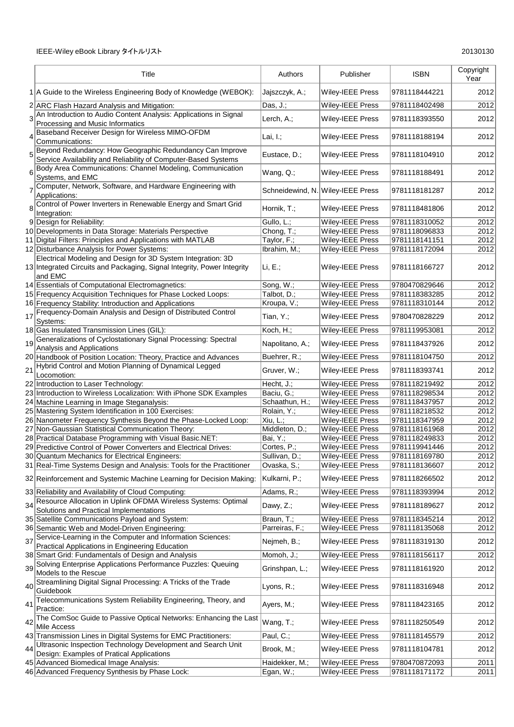|                | Title                                                                                                                      | Authors         | Publisher                         | <b>ISBN</b>   | Copyright<br>Year |
|----------------|----------------------------------------------------------------------------------------------------------------------------|-----------------|-----------------------------------|---------------|-------------------|
|                | 1 A Guide to the Wireless Engineering Body of Knowledge (WEBOK):                                                           | Jajszczyk, A.;  | Wiley-IEEE Press                  | 9781118444221 | 2012              |
|                | 2 ARC Flash Hazard Analysis and Mitigation:                                                                                | Das, $J$ .;     | Wiley-IEEE Press                  | 9781118402498 | 2012              |
|                | 3 <sup>4</sup> An Introduction to Audio Content Analysis: Applications in Signal<br>Processing and Music Informatics       | Lerch, A.;      | Wiley-IEEE Press                  | 9781118393550 | 2012              |
| 4              | Baseband Receiver Design for Wireless MIMO-OFDM<br>Communications:                                                         | Lai, $I$ .;     | Wiley-IEEE Press                  | 9781118188194 | 2012              |
| 5              | Beyond Redundancy: How Geographic Redundancy Can Improve<br>Service Availability and Reliability of Computer-Based Systems | Eustace, D.;    | Wiley-IEEE Press                  | 9781118104910 | 2012              |
| 6              | Body Area Communications: Channel Modeling, Communication<br>Systems, and EMC                                              | Wang, Q.;       | <b>Wiley-IEEE Press</b>           | 9781118188491 | 2012              |
| $\overline{7}$ | Computer, Network, Software, and Hardware Engineering with<br>Applications:                                                |                 | Schneidewind, N. Wiley-IEEE Press | 9781118181287 | 2012              |
|                | 8 Control of Power Inverters in Renewable Energy and Smart Grid<br>Integration:                                            | Hornik, T.;     | <b>Wiley-IEEE Press</b>           | 9781118481806 | 2012              |
|                | 9 Design for Reliability:                                                                                                  | Gullo, L.;      | <b>Wiley-IEEE Press</b>           | 9781118310052 | 2012              |
|                | 10 Developments in Data Storage: Materials Perspective                                                                     | Chong, $T$ .;   | <b>Wiley-IEEE Press</b>           | 9781118096833 | 2012              |
|                | 11 Digital Filters: Principles and Applications with MATLAB                                                                | Taylor, F.;     | Wiley-IEEE Press                  | 9781118141151 | 2012              |
|                | 12 Disturbance Analysis for Power Systems:                                                                                 | Ibrahim, M.;    | Wiley-IEEE Press                  | 9781118172094 | 2012              |
|                | Electrical Modeling and Design for 3D System Integration: 3D                                                               |                 |                                   |               |                   |
|                | 13 Integrated Circuits and Packaging, Signal Integrity, Power Integrity<br>and EMC                                         | Li, E.:         | <b>Wiley-IEEE Press</b>           | 9781118166727 | 2012              |
|                | 14 Essentials of Computational Electromagnetics:                                                                           | Song, W.;       | <b>Wiley-IEEE Press</b>           | 9780470829646 | 2012              |
|                | 15 Frequency Acquisition Techniques for Phase Locked Loops:                                                                | Talbot, D.;     | Wiley-IEEE Press                  | 9781118383285 | 2012              |
|                | 16 Frequency Stability: Introduction and Applications                                                                      | Kroupa, V.;     | Wiley-IEEE Press                  | 9781118310144 | 2012              |
| 17             | Frequency-Domain Analysis and Design of Distributed Control<br>Systems:                                                    | Tian, Y.;       | <b>Wiley-IEEE Press</b>           | 9780470828229 | 2012              |
|                | 18 Gas Insulated Transmission Lines (GIL):                                                                                 | Koch, H.;       | Wiley-IEEE Press                  | 9781119953081 | 2012              |
|                | 19 Generalizations of Cyclostationary Signal Processing: Spectral<br>Analysis and Applications                             | Napolitano, A.; | Wiley-IEEE Press                  | 9781118437926 | 2012              |
|                | 20 Handbook of Position Location: Theory, Practice and Advances                                                            | Buehrer, R.;    | Wiley-IEEE Press                  | 9781118104750 | 2012              |
| 21             | Hybrid Control and Motion Planning of Dynamical Legged<br>Locomotion:                                                      | Gruver, W.;     | Wiley-IEEE Press                  | 9781118393741 | 2012              |
|                | 22 Introduction to Laser Technology:                                                                                       | Hecht, J.;      | <b>Wiley-IEEE Press</b>           | 9781118219492 | 2012              |
|                | 23 Introduction to Wireless Localization: With iPhone SDK Examples                                                         | Baciu, G.;      | Wiley-IEEE Press                  | 9781118298534 | 2012              |
|                | 24 Machine Learning in Image Steganalysis:                                                                                 | Schaathun, H.;  | Wiley-IEEE Press                  | 9781118437957 | 2012              |
|                | 25 Mastering System Identification in 100 Exercises:                                                                       | Rolain, Y.;     | Wiley-IEEE Press                  | 9781118218532 | 2012              |
|                | 26 Nanometer Frequency Synthesis Beyond the Phase-Locked Loop:                                                             | Xiu, L.;        | Wiley-IEEE Press                  | 9781118347959 | 2012              |
|                | 27 Non-Gaussian Statistical Communication Theory:                                                                          | Middleton, D.;  | Wiley-IEEE Press                  | 9781118161968 | 2012              |
|                | 28 Practical Database Programming with Visual Basic.NET:                                                                   | Bai, Y.;        | Wiley-IEEE Press                  | 9781118249833 | 2012              |
|                | 29 Predictive Control of Power Converters and Electrical Drives:                                                           | Cortes, P.;     | Wiley-IEEE Press                  | 9781119941446 | 2012              |
|                | 30 Quantum Mechanics for Electrical Engineers:                                                                             | Sullivan, D.;   | Wiley-IEEE Press                  | 9781118169780 | 2012              |
|                | 31 Real-Time Systems Design and Analysis: Tools for the Practitioner                                                       | Ovaska, S.;     | <b>Wiley-IEEE Press</b>           | 9781118136607 | 2012              |
|                |                                                                                                                            |                 |                                   |               |                   |
|                | 32 Reinforcement and Systemic Machine Learning for Decision Making:                                                        | Kulkarni, P.;   | Wiley-IEEE Press                  | 9781118266502 | 2012              |
|                | 33 Reliability and Availability of Cloud Computing:                                                                        | Adams, R.;      | Wiley-IEEE Press                  | 9781118393994 | 2012              |
|                | 34 Resource Allocation in Uplink OFDMA Wireless Systems: Optimal<br>Solutions and Practical Implementations                | Dawy, Z.;       | Wiley-IEEE Press                  | 9781118189627 | 2012              |
|                | 35 Satellite Communications Payload and System:                                                                            | Braun, T.;      | <b>Wiley-IEEE Press</b>           | 9781118345214 | 2012              |
|                | 36 Semantic Web and Model-Driven Engineering:                                                                              | Parreiras, F.;  | Wiley-IEEE Press                  | 9781118135068 | 2012              |
| 37             | Service-Learning in the Computer and Information Sciences:<br>Practical Applications in Engineering Education              | Nejmeh, B.;     | Wiley-IEEE Press                  | 9781118319130 | 2012              |
|                | 38 Smart Grid: Fundamentals of Design and Analysis                                                                         | Momoh, J.;      | Wiley-IEEE Press                  | 9781118156117 | 2012              |
| 39             | Solving Enterprise Applications Performance Puzzles: Queuing<br>Models to the Rescue                                       | Grinshpan, L.;  | <b>Wiley-IEEE Press</b>           | 9781118161920 | 2012              |
|                | 40 Streamlining Digital Signal Processing: A Tricks of the Trade<br>Guidebook                                              | Lyons, $R$ .;   | <b>Wiley-IEEE Press</b>           | 9781118316948 | 2012              |
| 41             | Telecommunications System Reliability Engineering, Theory, and<br>Practice:                                                | Ayers, M.;      | Wiley-IEEE Press                  | 9781118423165 | 2012              |
| 42             | The ComSoc Guide to Passive Optical Networks: Enhancing the Last<br>Mile Access                                            | Wang, T.;       | Wiley-IEEE Press                  | 9781118250549 | 2012              |
|                | 43 Transmission Lines in Digital Systems for EMC Practitioners:                                                            | Paul, C.;       | Wiley-IEEE Press                  | 9781118145579 | 2012              |
| 44             | Ultrasonic Inspection Technology Development and Search Unit<br>Design: Examples of Pratical Applications                  | Brook, M.;      | Wiley-IEEE Press                  | 9781118104781 | 2012              |
|                | 45 Advanced Biomedical Image Analysis:                                                                                     | Haidekker, M.;  | Wiley-IEEE Press                  | 9780470872093 | 2011              |
|                | 46 Advanced Frequency Synthesis by Phase Lock:                                                                             | Egan, W.;       | Wiley-IEEE Press                  | 9781118171172 | 2011              |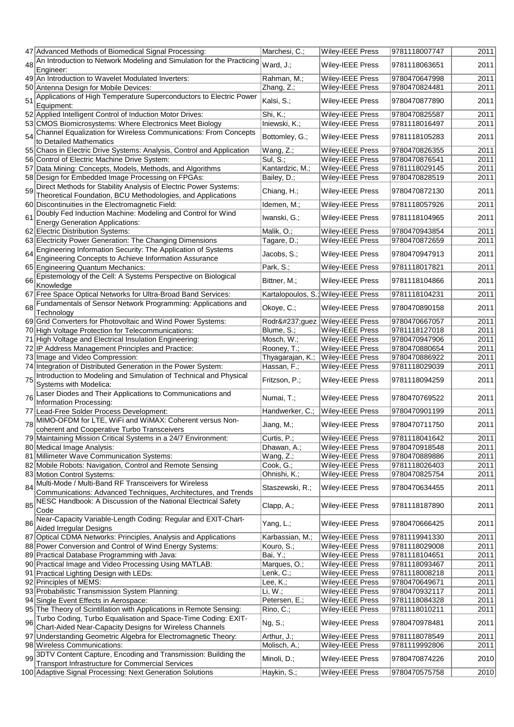|    | 47 Advanced Methods of Biomedical Signal Processing:                                                                            | Marchesi, C.;    | Wiley-IEEE Press                    | 9781118007747 | 2011 |
|----|---------------------------------------------------------------------------------------------------------------------------------|------------------|-------------------------------------|---------------|------|
| 48 | An Introduction to Network Modeling and Simulation for the Practicing<br>Engineer:                                              | Ward, J.;        | Wiley-IEEE Press                    | 9781118063651 | 2011 |
|    | 49 An Introduction to Wavelet Modulated Inverters:                                                                              | Rahman, M.;      | Wiley-IEEE Press                    | 9780470647998 | 2011 |
|    | 50 Antenna Design for Mobile Devices:                                                                                           | Zhang, Z.;       | Wiley-IEEE Press                    | 9780470824481 | 2011 |
|    | Applications of High Temperature Superconductors to Electric Power                                                              |                  |                                     |               |      |
| 51 | Equipment:                                                                                                                      | Kalsi, S.;       | Wiley-IEEE Press                    | 9780470877890 | 2011 |
|    | 52 Applied Intelligent Control of Induction Motor Drives:                                                                       | Shi, K.;         | Wiley-IEEE Press                    | 9780470825587 | 2011 |
|    | 53 CMOS Biomicrosystems: Where Electronics Meet Biology                                                                         | Iniewski, K.;    | Wiley-IEEE Press                    | 9781118016497 | 2011 |
| 54 | Channel Equalization for Wireless Communications: From Concepts<br>to Detailed Mathematics                                      | Bottomley, G.;   | <b>Wiley-IEEE Press</b>             | 9781118105283 | 2011 |
|    | 55 Chaos in Electric Drive Systems: Analysis, Control and Application                                                           |                  |                                     |               |      |
|    |                                                                                                                                 | Wang, Z.;        | <b>Wiley-IEEE Press</b>             | 9780470826355 | 2011 |
|    | 56 Control of Electric Machine Drive System:                                                                                    | Sul, S.;         | Wiley-IEEE Press                    | 9780470876541 | 2011 |
|    | 57 Data Mining: Concepts, Models, Methods, and Algorithms                                                                       | Kantardzic, M.;  | <b>Wiley-IEEE Press</b>             | 9781118029145 | 2011 |
|    | 58 Design for Embedded Image Processing on FPGAs:                                                                               | Bailey, D.;      | Wiley-IEEE Press                    | 9780470828519 | 2011 |
| 59 | Direct Methods for Stability Analysis of Electric Power Systems:<br>Theoretical Foundation, BCU Methodologies, and Applications | Chiang, H.;      | Wiley-IEEE Press                    | 9780470872130 | 2011 |
|    | 60 Discontinuities in the Electromagnetic Field:                                                                                | Idemen, M.;      | Wiley-IEEE Press                    | 9781118057926 | 2011 |
|    | Doubly Fed Induction Machine: Modeling and Control for Wind                                                                     |                  |                                     |               |      |
| 61 | <b>Energy Generation Applications:</b>                                                                                          | Iwanski, G.;     | Wiley-IEEE Press                    | 9781118104965 | 2011 |
|    | 62 Electric Distribution Systems:                                                                                               | Malik, O.;       | Wiley-IEEE Press                    | 9780470943854 | 2011 |
|    |                                                                                                                                 |                  | Wiley-IEEE Press                    | 9780470872659 | 2011 |
|    | 63 Electricity Power Generation: The Changing Dimensions                                                                        | Tagare, D.;      |                                     |               |      |
| 64 | Engineering Information Security: The Application of Systems                                                                    | Jacobs, S.;      | Wiley-IEEE Press                    | 9780470947913 | 2011 |
|    | Engineering Concepts to Achieve Information Assurance<br>65 Engineering Quantum Mechanics:                                      | Park, S.;        | <b>Wiley-IEEE Press</b>             | 9781118017821 | 2011 |
|    |                                                                                                                                 |                  |                                     |               |      |
| 66 | Epistemology of the Cell: A Systems Perspective on Biological<br>Knowledge                                                      | Bittner, M.;     | Wiley-IEEE Press                    | 9781118104866 | 2011 |
|    | 67 Free Space Optical Networks for Ultra-Broad Band Services:                                                                   |                  | Kartalopoulos, S.; Wiley-IEEE Press | 9781118104231 | 2011 |
| 68 | Fundamentals of Sensor Network Programming: Applications and                                                                    | Okoye, C.;       | <b>Wiley-IEEE Press</b>             | 9780470890158 | 2011 |
|    | Technology                                                                                                                      |                  |                                     |               |      |
|    | 69 Grid Converters for Photovoltaic and Wind Power Systems:                                                                     |                  | Rodríguez   Wiley-IEEE Press        | 9780470667057 | 2011 |
|    | 70 High Voltage Protection for Telecommunications:                                                                              | Blume, S.;       | Wiley-IEEE Press                    | 9781118127018 | 2011 |
|    | 71 High Voltage and Electrical Insulation Engineering:                                                                          | Mosch, W.;       | Wiley-IEEE Press                    | 9780470947906 | 2011 |
|    | 72 IP Address Management Principles and Practice:                                                                               | Rooney, T.;      | Wiley-IEEE Press                    | 9780470880654 | 2011 |
|    | 73 Image and Video Compression:                                                                                                 | Thyagarajan, K.; | Wiley-IEEE Press                    | 9780470886922 | 2011 |
|    | 74 Integration of Distributed Generation in the Power System:                                                                   | Hassan, F.;      | Wiley-IEEE Press                    | 9781118029039 | 2011 |
|    | Introduction to Modeling and Simulation of Technical and Physical                                                               |                  |                                     |               |      |
| 75 | Systems with Modelica:                                                                                                          | Fritzson, P.;    | Wiley-IEEE Press                    | 9781118094259 | 2011 |
| 76 | Laser Diodes and Their Applications to Communications and<br>Information Processing:                                            | Numai, T.;       | Wiley-IEEE Press                    | 9780470769522 | 2011 |
|    | 77 Lead-Free Solder Process Development:                                                                                        | Handwerker, C.;  | Wiley-IEEE Press                    | 9780470901199 | 2011 |
|    | MIMO-OFDM for LTE, WiFi and WiMAX: Coherent versus Non-                                                                         |                  |                                     |               |      |
| 78 | coherent and Cooperative Turbo Transceivers                                                                                     | Jiang, M.;       | Wiley-IEEE Press                    | 9780470711750 | 2011 |
|    | 79 Maintaining Mission Critical Systems in a 24/7 Environment:                                                                  | Curtis, P.;      | <b>Wiley-IEEE Press</b>             | 9781118041642 | 2011 |
|    | 80 Medical Image Analysis:                                                                                                      | Dhawan, A.;      | Wiley-IEEE Press                    | 9780470918548 | 2011 |
|    | 81 Millimeter Wave Communication Systems:                                                                                       | Wang, Z.;        | Wiley-IEEE Press                    | 9780470889886 | 2011 |
|    | 82 Mobile Robots: Navigation, Control and Remote Sensing                                                                        | Cook, G.;        | Wiley-IEEE Press                    | 9781118026403 | 2011 |
|    | 83 Motion Control Systems:                                                                                                      | Ohnishi, K.;     | Wiley-IEEE Press                    | 9780470825754 | 2011 |
|    | Multi-Mode / Multi-Band RF Transceivers for Wireless                                                                            |                  |                                     |               |      |
| 84 | Communications: Advanced Techniques, Architectures, and Trends                                                                  | Staszewski, R.;  | <b>Wiley-IEEE Press</b>             | 9780470634455 | 2011 |
|    | NESC Handbook: A Discussion of the National Electrical Safety                                                                   |                  |                                     |               |      |
| 85 | Code                                                                                                                            | Clapp, A.;       | <b>Wiley-IEEE Press</b>             | 9781118187890 | 2011 |
|    | Near-Capacity Variable-Length Coding: Regular and EXIT-Chart-                                                                   |                  |                                     |               |      |
| 86 | Aided Irregular Designs                                                                                                         | Yang, L.;        | Wiley-IEEE Press                    | 9780470666425 | 2011 |
|    | 87 Optical CDMA Networks: Principles, Analysis and Applications                                                                 | Karbassian, M.;  | Wiley-IEEE Press                    | 9781119941330 | 2011 |
|    | 88 Power Conversion and Control of Wind Energy Systems:                                                                         | Kouro, S.;       | Wiley-IEEE Press                    | 9781118029008 | 2011 |
|    |                                                                                                                                 |                  |                                     |               |      |
|    | 89 Practical Database Programming with Java:                                                                                    | Bai, Y.;         | Wiley-IEEE Press                    | 9781118104651 | 2011 |
|    | 90 Practical Image and Video Processing Using MATLAB:                                                                           | Marques, O.;     | Wiley-IEEE Press                    | 9781118093467 | 2011 |
|    | 91 Practical Lighting Design with LEDs:                                                                                         | Lenk, C.;        | Wiley-IEEE Press                    | 9781118008218 | 2011 |
|    | 92 Principles of MEMS:                                                                                                          | Lee, $K$ .;      | Wiley-IEEE Press                    | 9780470649671 | 2011 |
|    | 93 Probabilistic Transmission System Planning:                                                                                  | Li, W.;          | Wiley-IEEE Press                    | 9780470932117 | 2011 |
|    | 94 Single Event Effects in Aerospace:                                                                                           | Petersen, E.;    | Wiley-IEEE Press                    | 9781118084328 | 2011 |
|    | 95 The Theory of Scintillation with Applications in Remote Sensing:                                                             | Rino, C.;        | Wiley-IEEE Press                    | 9781118010211 | 2011 |
| 96 | Turbo Coding, Turbo Equalisation and Space-Time Coding: EXIT-<br>Chart-Aided Near-Capacity Designs for Wireless Channels        | Ng, S.;          | <b>Wiley-IEEE Press</b>             | 9780470978481 | 2011 |
|    | 97 Understanding Geometric Algebra for Electromagnetic Theory:                                                                  | Arthur, J.;      | Wiley-IEEE Press                    | 9781118078549 | 2011 |
|    | 98 Wireless Communications:                                                                                                     | Molisch, A.;     | <b>Wiley-IEEE Press</b>             | 9781119992806 | 2011 |
|    | 99 3DTV Content Capture, Encoding and Transmission: Building the                                                                |                  |                                     |               |      |
|    | Transport Infrastructure for Commercial Services                                                                                | Minoli, D.;      | <b>Wiley-IEEE Press</b>             | 9780470874226 | 2010 |
|    | 100 Adaptive Signal Processing: Next Generation Solutions                                                                       | Haykin, S.;      | Wiley-IEEE Press                    | 9780470575758 | 2010 |
|    |                                                                                                                                 |                  |                                     |               |      |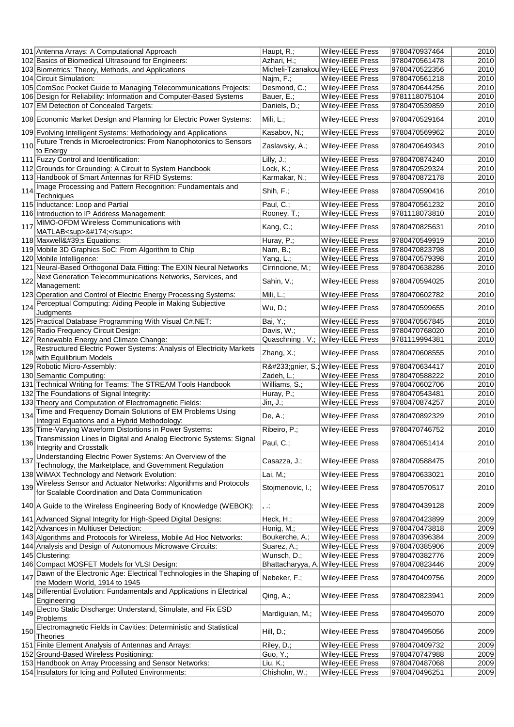|     | 101 Antenna Arrays: A Computational Approach                                                                                     | Haupt, R.;       | Wiley-IEEE Press                   | 9780470937464 | 2010 |
|-----|----------------------------------------------------------------------------------------------------------------------------------|------------------|------------------------------------|---------------|------|
|     | 102 Basics of Biomedical Ultrasound for Engineers:                                                                               | Azhari, H.;      | Wiley-IEEE Press                   | 9780470561478 | 2010 |
|     | 103 Biometrics: Theory, Methods, and Applications                                                                                |                  | Micheli-Tzanakou Wiley-IEEE Press  | 9780470522356 | 2010 |
|     | 104 Circuit Simulation:                                                                                                          | Najm, F.;        | Wiley-IEEE Press                   | 9780470561218 | 2010 |
|     | 105 ComSoc Pocket Guide to Managing Telecommunications Projects:                                                                 | Desmond, C.;     | Wiley-IEEE Press                   | 9780470644256 | 2010 |
|     |                                                                                                                                  |                  |                                    |               | 2010 |
|     | 106 Design for Reliability: Information and Computer-Based Systems                                                               | Bauer, E.;       | Wiley-IEEE Press                   | 9781118075104 |      |
|     | 107 EM Detection of Concealed Targets:                                                                                           | Daniels, D.;     | <b>Wiley-IEEE Press</b>            | 9780470539859 | 2010 |
|     | 108 Economic Market Design and Planning for Electric Power Systems:                                                              | Mili, L.;        | Wiley-IEEE Press                   | 9780470529164 | 2010 |
|     | 109 Evolving Intelligent Systems: Methodology and Applications                                                                   | Kasabov, N.;     | Wiley-IEEE Press                   | 9780470569962 | 2010 |
|     | 110 Future Trends in Microelectronics: From Nanophotonics to Sensors<br>to Energy                                                | Zaslavsky, A.;   | Wiley-IEEE Press                   | 9780470649343 | 2010 |
|     | 111 Fuzzy Control and Identification:                                                                                            | Lilly, J.;       | Wiley-IEEE Press                   | 9780470874240 | 2010 |
|     |                                                                                                                                  |                  |                                    |               |      |
|     | 112 Grounds for Grounding: A Circuit to System Handbook                                                                          | Lock, K.;        | Wiley-IEEE Press                   | 9780470529324 | 2010 |
|     | 113 Handbook of Smart Antennas for RFID Systems:                                                                                 | Karmakar, N.;    | Wiley-IEEE Press                   | 9780470872178 | 2010 |
| 114 | Image Processing and Pattern Recognition: Fundamentals and<br><b>Techniques</b>                                                  | Shih, F.;        | <b>Wiley-IEEE Press</b>            | 9780470590416 | 2010 |
|     | 115 Inductance: Loop and Partial                                                                                                 | Paul, C.;        | Wiley-IEEE Press                   | 9780470561232 | 2010 |
|     | 116 Introduction to IP Address Management:                                                                                       | Rooney, T.;      | Wiley-IEEE Press                   | 9781118073810 | 2010 |
| 117 | MIMO-OFDM Wireless Communications with                                                                                           |                  |                                    |               |      |
|     | MATLAB <sup>®</sup> :                                                                                                            | Kang, C.;        | Wiley-IEEE Press                   | 9780470825631 | 2010 |
|     | 118 Maxwell's Equations:                                                                                                         | Huray, P.;       | Wiley-IEEE Press                   | 9780470549919 | 2010 |
|     | 119 Mobile 3D Graphics SoC: From Algorithm to Chip                                                                               | Nam, B.;         | Wiley-IEEE Press                   | 9780470823798 | 2010 |
|     | 120 Mobile Intelligence:                                                                                                         | Yang, L.;        | Wiley-IEEE Press                   | 9780470579398 | 2010 |
|     | 121 Neural-Based Orthogonal Data Fitting: The EXIN Neural Networks                                                               | Cirrincione, M.; | Wiley-IEEE Press                   | 9780470638286 | 2010 |
|     | Next Generation Telecommunications Networks, Services, and                                                                       |                  |                                    |               |      |
| 122 | Management:                                                                                                                      | Sahin, V.;       | Wiley-IEEE Press                   | 9780470594025 | 2010 |
|     | 123 Operation and Control of Electric Energy Processing Systems:<br>124 Perceptual Computing: Aiding People in Making Subjective | Mili, L.;        | Wiley-IEEE Press                   | 9780470602782 | 2010 |
|     | Judgments                                                                                                                        | Wu, D.;          | Wiley-IEEE Press                   | 9780470599655 | 2010 |
|     | 125 Practical Database Programming With Visual C#.NET:                                                                           | Bai, Y.;         | Wiley-IEEE Press                   | 9780470567845 | 2010 |
|     | 126 Radio Frequency Circuit Design:                                                                                              | Davis, W.;       | Wiley-IEEE Press                   | 9780470768020 | 2010 |
|     | 127 Renewable Energy and Climate Change:                                                                                         |                  | Quaschning, V.; Wiley-IEEE Press   | 9781119994381 | 2010 |
|     | 128 Restructured Electric Power Systems: Analysis of Electricity Markets<br>with Equilibrium Models                              | Zhang, X.;       | <b>Wiley-IEEE Press</b>            | 9780470608555 | 2010 |
|     | 129 Robotic Micro-Assembly:                                                                                                      |                  | Régnier, S.; Wiley-IEEE Press      | 9780470634417 | 2010 |
|     |                                                                                                                                  | Zadeh, L.;       |                                    | 9780470588222 | 2010 |
|     | 130 Semantic Computing:                                                                                                          |                  | Wiley-IEEE Press                   |               |      |
|     | 131 Technical Writing for Teams: The STREAM Tools Handbook                                                                       | Williams, S.;    | Wiley-IEEE Press                   | 9780470602706 | 2010 |
|     | 132 The Foundations of Signal Integrity:                                                                                         | Huray, P.;       | Wiley-IEEE Press                   | 9780470543481 | 2010 |
|     | 133 Theory and Computation of Electromagnetic Fields:                                                                            | Jin, J.;         | Wiley-IEEE Press                   | 9780470874257 | 2010 |
| 134 | Time and Frequency Domain Solutions of EM Problems Using<br>Integral Equations and a Hybrid Methodology:                         | De, A.;          | Wiley-IEEE Press                   | 9780470892329 | 2010 |
|     | 135 Time-Varying Waveform Distortions in Power Systems:                                                                          | Ribeiro, P.;     | Wiley-IEEE Press                   | 9780470746752 | 2010 |
| 136 | Transmission Lines in Digital and Analog Electronic Systems: Signal                                                              | Paul, C.;        | Wiley-IEEE Press                   |               | 2010 |
|     | Integrity and Crosstalk                                                                                                          |                  |                                    | 9780470651414 |      |
| 137 | Understanding Electric Power Systems: An Overview of the                                                                         | Casazza, J.;     | Wiley-IEEE Press                   | 9780470588475 | 2010 |
|     | Technology, the Marketplace, and Government Regulation                                                                           |                  |                                    |               |      |
|     | 138 WiMAX Technology and Network Evolution:                                                                                      | Lai, M.;         | Wiley-IEEE Press                   | 9780470633021 | 2010 |
|     | 139 Wireless Sensor and Actuator Networks: Algorithms and Protocols<br>for Scalable Coordination and Data Communication          | Stojmenovic, I.; | <b>Wiley-IEEE Press</b>            | 9780470570517 | 2010 |
|     | 140 A Guide to the Wireless Engineering Body of Knowledge (WEBOK):                                                               | , .;             | <b>Wiley-IEEE Press</b>            | 9780470439128 | 2009 |
|     | 141 Advanced Signal Integrity for High-Speed Digital Designs:                                                                    | Heck, H.;        | Wiley-IEEE Press                   | 9780470423899 | 2009 |
|     | 142 Advances in Multiuser Detection:                                                                                             | Honig, M.;       | Wiley-IEEE Press                   | 9780470473818 | 2009 |
|     | 143 Algorithms and Protocols for Wireless, Mobile Ad Hoc Networks:                                                               | Boukerche, A.;   | Wiley-IEEE Press                   | 9780470396384 | 2009 |
|     | 144 Analysis and Design of Autonomous Microwave Circuits:                                                                        | Suarez, A.;      | Wiley-IEEE Press                   | 9780470385906 | 2009 |
|     | 145 Clustering:                                                                                                                  | Wunsch, D.;      | Wiley-IEEE Press                   | 9780470382776 | 2009 |
|     | 146 Compact MOSFET Models for VLSI Design:                                                                                       |                  | Bhattacharyya, A. Wiley-IEEE Press | 9780470823446 | 2009 |
|     | Dawn of the Electronic Age: Electrical Technologies in the Shaping of                                                            |                  |                                    |               |      |
| 147 | the Modern World, 1914 to 1945                                                                                                   | Nebeker, F.;     | Wiley-IEEE Press                   | 9780470409756 | 2009 |
| 148 | Differential Evolution: Fundamentals and Applications in Electrical<br>Engineering                                               | Qing, A.;        | Wiley-IEEE Press                   | 9780470823941 | 2009 |
|     | 149 Electro Static Discharge: Understand, Simulate, and Fix ESD<br>Problems                                                      | Mardiguian, M.;  | Wiley-IEEE Press                   | 9780470495070 | 2009 |
| 150 | Electromagnetic Fields in Cavities: Deterministic and Statistical<br>Theories                                                    | Hill, D.;        | <b>Wiley-IEEE Press</b>            | 9780470495056 | 2009 |
|     | 151 Finite Element Analysis of Antennas and Arrays:                                                                              | Riley, D.;       | Wiley-IEEE Press                   | 9780470409732 | 2009 |
|     | 152 Ground-Based Wireless Positioning:                                                                                           |                  | Wiley-IEEE Press                   | 9780470747988 | 2009 |
|     |                                                                                                                                  | Guo, Y.;         |                                    |               |      |
|     | 153 Handbook on Array Processing and Sensor Networks:                                                                            | Liu, K.;         | Wiley-IEEE Press                   | 9780470487068 | 2009 |
|     | 154 Insulators for Icing and Polluted Environments:                                                                              | Chisholm, W.;    | Wiley-IEEE Press                   | 9780470496251 | 2009 |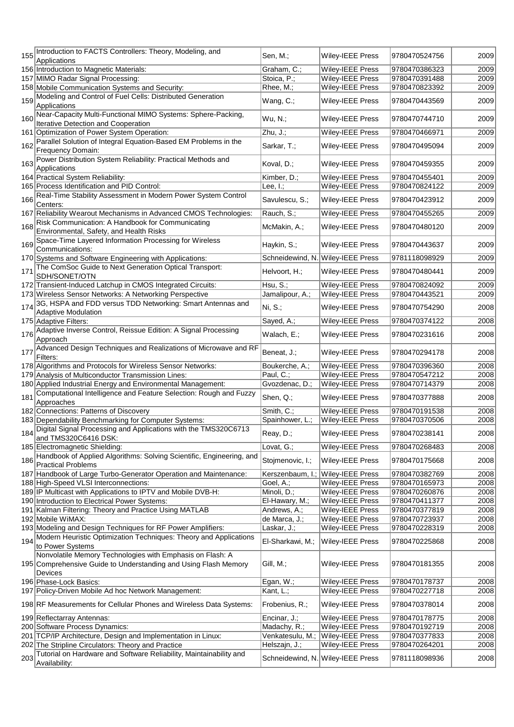| 155 | Introduction to FACTS Controllers: Theory, Modeling, and                                            | Sen, M.;         | Wiley-IEEE Press                                      | 9780470524756 | 2009 |
|-----|-----------------------------------------------------------------------------------------------------|------------------|-------------------------------------------------------|---------------|------|
|     | Applications                                                                                        |                  |                                                       |               |      |
|     | 156 Introduction to Magnetic Materials:                                                             | Graham, C.;      | Wiley-IEEE Press                                      | 9780470386323 | 2009 |
|     | 157 MIMO Radar Signal Processing:                                                                   | Stoica, P.;      | Wiley-IEEE Press                                      | 9780470391488 | 2009 |
|     | 158 Mobile Communication Systems and Security:                                                      | Rhee, M.;        | Wiley-IEEE Press                                      | 9780470823392 | 2009 |
| 159 | Modeling and Control of Fuel Cells: Distributed Generation<br>Applications                          | Wang, C.;        | <b>Wiley-IEEE Press</b>                               | 9780470443569 | 2009 |
|     |                                                                                                     |                  |                                                       |               |      |
| 160 | Near-Capacity Multi-Functional MIMO Systems: Sphere-Packing,<br>Iterative Detection and Cooperation | Wu, N.;          | Wiley-IEEE Press                                      | 9780470744710 | 2009 |
|     | 161 Optimization of Power System Operation:                                                         | Zhu, J.;         | Wiley-IEEE Press                                      | 9780470466971 | 2009 |
|     | Parallel Solution of Integral Equation-Based EM Problems in the                                     |                  |                                                       |               |      |
| 162 | Frequency Domain:                                                                                   | Sarkar, T.;      | Wiley-IEEE Press                                      | 9780470495094 | 2009 |
|     | Power Distribution System Reliability: Practical Methods and                                        |                  |                                                       |               |      |
| 163 | Applications                                                                                        | Koval, D.;       | Wiley-IEEE Press                                      | 9780470459355 | 2009 |
|     | 164 Practical System Reliability:                                                                   | Kimber, D.;      | Wiley-IEEE Press                                      | 9780470455401 | 2009 |
|     | 165 Process Identification and PID Control:                                                         | Lee, $I$ .;      | Wiley-IEEE Press                                      | 9780470824122 | 2009 |
|     | Real-Time Stability Assessment in Modern Power System Control                                       |                  |                                                       |               |      |
| 166 | Centers:                                                                                            | Savulescu, S.;   | <b>Wiley-IEEE Press</b>                               | 9780470423912 | 2009 |
|     | 167 Reliability Wearout Mechanisms in Advanced CMOS Technologies:                                   | Rauch, S.;       | Wiley-IEEE Press                                      | 9780470455265 | 2009 |
|     | Risk Communication: A Handbook for Communicating                                                    |                  |                                                       |               |      |
| 168 | Environmental, Safety, and Health Risks                                                             | McMakin, A.;     | Wiley-IEEE Press                                      | 9780470480120 | 2009 |
|     | Space-Time Layered Information Processing for Wireless                                              |                  |                                                       |               |      |
| 169 | Communications:                                                                                     | Haykin, S.;      | <b>Wiley-IEEE Press</b>                               | 9780470443637 | 2009 |
|     | 170 Systems and Software Engineering with Applications:                                             |                  | Schneidewind, N. Wiley-IEEE Press                     | 9781118098929 | 2009 |
|     | The ComSoc Guide to Next Generation Optical Transport:                                              |                  |                                                       |               |      |
| 171 | SDH/SONET/OTN                                                                                       | Helvoort, H.;    | Wiley-IEEE Press                                      | 9780470480441 | 2009 |
|     | 172 Transient-Induced Latchup in CMOS Integrated Circuits:                                          | Hsu, S.;         | <b>Wiley-IEEE Press</b>                               | 9780470824092 | 2009 |
|     | 173 Wireless Sensor Networks: A Networking Perspective                                              | Jamalipour, A.;  | Wiley-IEEE Press                                      | 9780470443521 | 2009 |
|     | 3G, HSPA and FDD versus TDD Networking: Smart Antennas and                                          |                  |                                                       |               |      |
| 174 | <b>Adaptive Modulation</b>                                                                          | $Ni, S$ .;       | Wiley-IEEE Press                                      | 9780470754290 | 2008 |
|     | 175 Adaptive Filters:                                                                               | Sayed, A.;       | Wiley-IEEE Press                                      | 9780470374122 | 2008 |
| 176 | Adaptive Inverse Control, Reissue Edition: A Signal Processing                                      | Walach, E.;      | <b>Wiley-IEEE Press</b>                               | 9780470231616 | 2008 |
|     | Approach                                                                                            |                  |                                                       |               |      |
| 177 | Advanced Design Techniques and Realizations of Microwave and RF                                     | Beneat, J.;      | <b>Wiley-IEEE Press</b>                               | 9780470294178 | 2008 |
|     | Filters:                                                                                            |                  |                                                       |               |      |
|     | 178 Algorithms and Protocols for Wireless Sensor Networks:                                          | Boukerche, A.;   | Wiley-IEEE Press                                      | 9780470396360 | 2008 |
|     | 179 Analysis of Multiconductor Transmission Lines:                                                  | Paul, C.;        | Wiley-IEEE Press                                      | 9780470547212 | 2008 |
|     | 180 Applied Industrial Energy and Environmental Management:                                         | Gvozdenac, D.;   | <b>Wiley-IEEE Press</b>                               | 9780470714379 | 2008 |
| 181 | Computational Intelligence and Feature Selection: Rough and Fuzzy                                   | Shen, Q.;        | Wiley-IEEE Press                                      | 9780470377888 | 2008 |
|     | Approaches                                                                                          |                  |                                                       |               |      |
|     | 182 Connections: Patterns of Discovery                                                              | Smith, C.;       | Wiley-IEEE Press                                      | 9780470191538 | 2008 |
|     | 183 Dependability Benchmarking for Computer Systems:                                                | Spainhower, L.;  | <b>Wiley-IEEE Press</b>                               | 9780470370506 | 2008 |
|     | 184 Digital Signal Processing and Applications with the TMS320C6713                                 | Reay, D.;        | Wiley-IEEE Press                                      | 9780470238141 | 2008 |
|     | and TMS320C6416 DSK:                                                                                |                  |                                                       |               |      |
|     | 185 Electromagnetic Shielding:                                                                      | Lovat, G.;       | <b>Wiley-IEEE Press</b>                               | 9780470268483 | 2008 |
| 186 | Handbook of Applied Algorithms: Solving Scientific, Engineering, and<br><b>Practical Problems</b>   | Stojmenovic, I.; | <b>Wiley-IEEE Press</b>                               | 9780470175668 | 2008 |
|     | 187 Handbook of Large Turbo-Generator Operation and Maintenance:                                    |                  |                                                       | 9780470382769 | 2008 |
|     | 188 High-Speed VLSI Interconnections:                                                               | Goel, A.;        | Kerszenbaum, I.; Wiley-IEEE Press<br>Wiley-IEEE Press | 9780470165973 | 2008 |
|     | 189 IP Multicast with Applications to IPTV and Mobile DVB-H:                                        | Minoli, D.;      | <b>Wiley-IEEE Press</b>                               | 9780470260876 | 2008 |
|     | 190 Introduction to Electrical Power Systems:                                                       | El-Hawary, M.;   | Wiley-IEEE Press                                      | 9780470411377 | 2008 |
|     | 191 Kalman Filtering: Theory and Practice Using MATLAB                                              | Andrews, A.;     | <b>Wiley-IEEE Press</b>                               | 9780470377819 | 2008 |
|     | 192 Mobile WiMAX:                                                                                   | de Marca, J.;    | <b>Wiley-IEEE Press</b>                               | 9780470723937 | 2008 |
|     | 193 Modeling and Design Techniques for RF Power Amplifiers:                                         | Laskar, J.;      | Wiley-IEEE Press                                      | 9780470228319 | 2008 |
|     | Modern Heuristic Optimization Techniques: Theory and Applications                                   |                  |                                                       |               |      |
| 194 | to Power Systems                                                                                    | El-Sharkawi, M.; | <b>Wiley-IEEE Press</b>                               | 9780470225868 | 2008 |
|     | Nonvolatile Memory Technologies with Emphasis on Flash: A                                           |                  |                                                       |               |      |
|     | 195 Comprehensive Guide to Understanding and Using Flash Memory                                     | Gill, M.;        | <b>Wiley-IEEE Press</b>                               | 9780470181355 | 2008 |
|     | Devices                                                                                             |                  |                                                       |               |      |
|     | 196 Phase-Lock Basics:                                                                              | Egan, W.;        | Wiley-IEEE Press                                      | 9780470178737 | 2008 |
|     | 197 Policy-Driven Mobile Ad hoc Network Management:                                                 | Kant, L.;        | Wiley-IEEE Press                                      | 9780470227718 | 2008 |
|     |                                                                                                     |                  |                                                       |               |      |
|     | 198 RF Measurements for Cellular Phones and Wireless Data Systems:                                  | Frobenius, R.;   | <b>Wiley-IEEE Press</b>                               | 9780470378014 | 2008 |
|     | 199 Reflectarray Antennas:                                                                          | Encinar, J.;     | <b>Wiley-IEEE Press</b>                               | 9780470178775 | 2008 |
|     | 200 Software Process Dynamics:                                                                      | Madachy, R.;     | <b>Wiley-IEEE Press</b>                               | 9780470192719 | 2008 |
|     | 201 TCP/IP Architecture, Design and Implementation in Linux:                                        |                  | Venkatesulu, M.; Wiley-IEEE Press                     | 9780470377833 | 2008 |
|     | 202 The Stripline Circulators: Theory and Practice                                                  | Helszajn, J.;    | <b>Wiley-IEEE Press</b>                               | 9780470264201 | 2008 |
|     | 203 Tutorial on Hardware and Software Reliability, Maintainability and                              |                  |                                                       |               |      |
|     | Availability:                                                                                       |                  | Schneidewind, N. Wiley-IEEE Press                     | 9781118098936 | 2008 |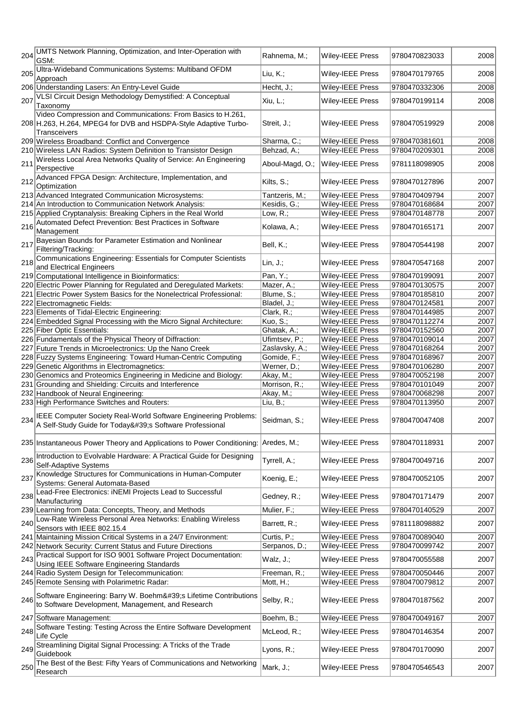| 204  | UMTS Network Planning, Optimization, and Inter-Operation with<br>GSM:                        | Rahnema, M.;    | Wiley-IEEE Press        | 9780470823033 | 2008 |
|------|----------------------------------------------------------------------------------------------|-----------------|-------------------------|---------------|------|
| 205  | Ultra-Wideband Communications Systems: Multiband OFDM                                        | Liu, K.;        | <b>Wiley-IEEE Press</b> | 9780470179765 | 2008 |
|      | Approach<br>206 Understanding Lasers: An Entry-Level Guide                                   | Hecht, J.;      | Wiley-IEEE Press        | 9780470332306 | 2008 |
|      | VLSI Circuit Design Methodology Demystified: A Conceptual                                    |                 |                         |               |      |
| ∣207 | Taxonomy                                                                                     | Xiu, L.;        | Wiley-IEEE Press        | 9780470199114 | 2008 |
|      | Video Compression and Communications: From Basics to H.261,                                  |                 |                         |               |      |
|      | 208 H.263, H.264, MPEG4 for DVB and HSDPA-Style Adaptive Turbo-                              | Streit, J.;     | Wiley-IEEE Press        | 9780470519929 | 2008 |
|      | Transceivers                                                                                 |                 |                         |               |      |
|      | 209 Wireless Broadband: Conflict and Convergence                                             | Sharma, C.;     | Wiley-IEEE Press        | 9780470381601 | 2008 |
|      | 210 Wireless LAN Radios: System Definition to Transistor Design                              | Behzad, A.;     | Wiley-IEEE Press        | 9780470209301 | 2008 |
| 211  | Wireless Local Area Networks Quality of Service: An Engineering<br>Perspective               | Aboul-Magd, O.; | Wiley-IEEE Press        | 9781118098905 | 2008 |
|      | 212 Advanced FPGA Design: Architecture, Implementation, and                                  |                 |                         |               |      |
|      | Optimization                                                                                 | Kilts, S.;      | Wiley-IEEE Press        | 9780470127896 | 2007 |
|      | 213 Advanced Integrated Communication Microsystems:                                          | Tantzeris, M.;  | Wiley-IEEE Press        | 9780470409794 | 2007 |
|      | 214 An Introduction to Communication Network Analysis:                                       | Kesidis, G.;    | Wiley-IEEE Press        | 9780470168684 | 2007 |
|      | 215 Applied Cryptanalysis: Breaking Ciphers in the Real World                                | Low, $R$ .;     | Wiley-IEEE Press        | 9780470148778 | 2007 |
| 216  | Automated Defect Prevention: Best Practices in Software                                      | Kolawa, A.;     | Wiley-IEEE Press        | 9780470165171 | 2007 |
|      | Management                                                                                   |                 |                         |               |      |
| 217  | Bayesian Bounds for Parameter Estimation and Nonlinear                                       | Bell, K.;       | <b>Wiley-IEEE Press</b> | 9780470544198 | 2007 |
|      | Filtering/Tracking:<br>Communications Engineering: Essentials for Computer Scientists        |                 |                         |               |      |
| 218  | and Electrical Engineers                                                                     | Lin, $J$ .;     | Wiley-IEEE Press        | 9780470547168 | 2007 |
|      | 219 Computational Intelligence in Bioinformatics:                                            | Pan, Y.;        | <b>Wiley-IEEE Press</b> | 9780470199091 | 2007 |
|      | 220 Electric Power Planning for Regulated and Deregulated Markets:                           | Mazer, A.;      | Wiley-IEEE Press        | 9780470130575 | 2007 |
|      | 221 Electric Power System Basics for the Nonelectrical Professional:                         | Blume, S.;      | Wiley-IEEE Press        | 9780470185810 | 2007 |
|      | 222 Electromagnetic Fields:                                                                  | Bladel, J.;     | <b>Wiley-IEEE Press</b> | 9780470124581 | 2007 |
|      | 223 Elements of Tidal-Electric Engineering:                                                  | Clark, R.;      | Wiley-IEEE Press        | 9780470144985 | 2007 |
|      | 224 Embedded Signal Processing with the Micro Signal Architecture:                           | Kuo, S.;        | Wiley-IEEE Press        | 9780470112274 | 2007 |
|      | 225 Fiber Optic Essentials:                                                                  | Ghatak, A.;     | Wiley-IEEE Press        | 9780470152560 | 2007 |
|      |                                                                                              | Ufimtsev, P.;   | Wiley-IEEE Press        | 9780470109014 | 2007 |
|      | 226 Fundamentals of the Physical Theory of Diffraction:                                      |                 |                         |               |      |
|      | 227 Future Trends in Microelectronics: Up the Nano Creek                                     | Zaslavsky, A.;  | Wiley-IEEE Press        | 9780470168264 | 2007 |
|      | 228 Fuzzy Systems Engineering: Toward Human-Centric Computing                                | Gomide, F.;     | Wiley-IEEE Press        | 9780470168967 | 2007 |
|      | 229 Genetic Algorithms in Electromagnetics:                                                  | Werner, D.;     | Wiley-IEEE Press        | 9780470106280 | 2007 |
|      | 230 Genomics and Proteomics Engineering in Medicine and Biology:                             | Akay, M.;       | Wiley-IEEE Press        | 9780470052198 | 2007 |
|      | 231 Grounding and Shielding: Circuits and Interference                                       | Morrison, R.;   | Wiley-IEEE Press        | 9780470101049 | 2007 |
|      | 232 Handbook of Neural Engineering:                                                          | Akay, M.;       | Wiley-IEEE Press        | 9780470068298 | 2007 |
|      | 233 High Performance Switches and Routers:                                                   | Liu, $B$ .;     | Wiley-IEEE Press        | 9780470113950 | 2007 |
|      | IEEE Computer Society Real-World Software Engineering Problems:                              |                 |                         |               |      |
| 234  | A Self-Study Guide for Today's Software Professional                                         | Seidman, S.;    | Wiley-IEEE Press        | 9780470047408 | 2007 |
|      |                                                                                              |                 |                         |               |      |
|      | 235 Instantaneous Power Theory and Applications to Power Conditioning:                       | Aredes, M.;     | Wiley-IEEE Press        | 9780470118931 | 2007 |
|      |                                                                                              |                 |                         |               |      |
| 236  | Introduction to Evolvable Hardware: A Practical Guide for Designing<br>Self-Adaptive Systems | Tyrrell, A.;    | Wiley-IEEE Press        | 9780470049716 | 2007 |
|      | 237 Knowledge Structures for Communications in Human-Computer                                |                 |                         |               |      |
|      | Systems: General Automata-Based                                                              | Koenig, E.;     | <b>Wiley-IEEE Press</b> | 9780470052105 | 2007 |
|      | Lead-Free Electronics: iNEMI Projects Lead to Successful                                     |                 |                         |               |      |
| 238  | Manufacturing                                                                                | Gedney, R.;     | Wiley-IEEE Press        | 9780470171479 | 2007 |
|      | 239 Learning from Data: Concepts, Theory, and Methods                                        | Mulier, F.;     | Wiley-IEEE Press        | 9780470140529 | 2007 |
|      | Low-Rate Wireless Personal Area Networks: Enabling Wireless                                  |                 |                         |               |      |
| 240  | Sensors with IEEE 802.15.4                                                                   | Barrett, R.;    | Wiley-IEEE Press        | 9781118098882 | 2007 |
|      | 241 Maintaining Mission Critical Systems in a 24/7 Environment:                              | Curtis, P.;     | <b>Wiley-IEEE Press</b> | 9780470089040 | 2007 |
|      | 242 Network Security: Current Status and Future Directions                                   | Serpanos, D.;   | Wiley-IEEE Press        | 9780470099742 | 2007 |
|      | Practical Support for ISO 9001 Software Project Documentation:                               |                 |                         |               |      |
| 243  | Using IEEE Software Engineering Standards                                                    | Walz, J.;       | <b>Wiley-IEEE Press</b> | 9780470055588 | 2007 |
|      | 244 Radio System Design for Telecommunication:                                               | Freeman, R.;    | Wiley-IEEE Press        | 9780470050446 | 2007 |
|      | 245 Remote Sensing with Polarimetric Radar:                                                  | Mott, H.;       | Wiley-IEEE Press        | 9780470079812 | 2007 |
|      | Software Engineering: Barry W. Boehm's Lifetime Contributions                                |                 |                         |               |      |
| 246  | to Software Development, Management, and Research                                            | Selby, R.;      | Wiley-IEEE Press        | 9780470187562 | 2007 |
|      |                                                                                              |                 |                         |               |      |
|      | 247 Software Management:                                                                     | Boehm, B.;      | Wiley-IEEE Press        | 9780470049167 | 2007 |
| 248  | Software Testing: Testing Across the Entire Software Development                             | McLeod, R.;     | Wiley-IEEE Press        | 9780470146354 | 2007 |
|      | Life Cycle                                                                                   |                 |                         |               |      |
|      | 249 Streamlining Digital Signal Processing: A Tricks of the Trade<br>Guidebook               | Lyons, R.;      | Wiley-IEEE Press        | 9780470170090 | 2007 |
|      | The Best of the Best: Fifty Years of Communications and Networking                           |                 |                         |               |      |
| 250  | Research                                                                                     | Mark, J.;       | Wiley-IEEE Press        | 9780470546543 | 2007 |
|      |                                                                                              |                 |                         |               |      |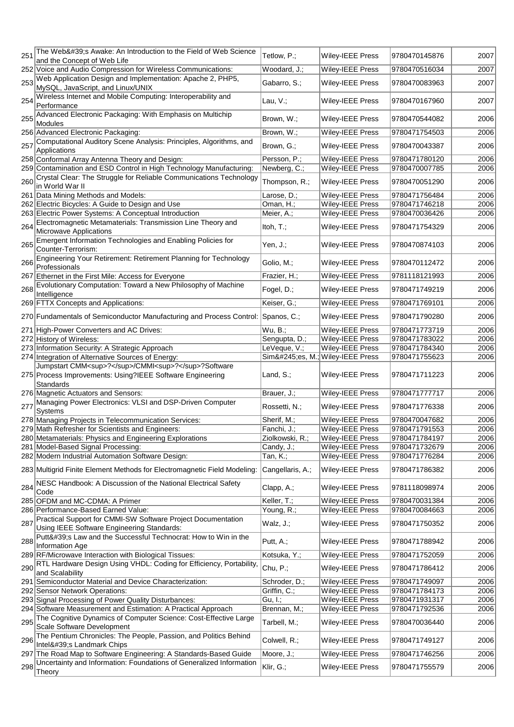|     | 251 The Web's Awake: An Introduction to the Field of Web Science                                           | Tetlow, P.;                   | Wiley-IEEE Press                     | 9780470145876                  | 2007         |
|-----|------------------------------------------------------------------------------------------------------------|-------------------------------|--------------------------------------|--------------------------------|--------------|
|     | and the Concept of Web Life<br>252 Voice and Audio Compression for Wireless Communications:                | Woodard, J.;                  | Wiley-IEEE Press                     | 9780470516034                  | 2007         |
|     | Web Application Design and Implementation: Apache 2, PHP5,                                                 |                               |                                      |                                |              |
| 253 | MySQL, JavaScript, and Linux/UNIX                                                                          | Gabarro, S.;                  | Wiley-IEEE Press                     | 9780470083963                  | 2007         |
| 254 | Wireless Internet and Mobile Computing: Interoperability and                                               | Lau, $V$ .;                   | Wiley-IEEE Press                     | 9780470167960                  | 2007         |
|     | Performance<br>Advanced Electronic Packaging: With Emphasis on Multichip                                   |                               |                                      |                                |              |
| 255 | Modules                                                                                                    | Brown, W.;                    | Wiley-IEEE Press                     | 9780470544082                  | 2006         |
|     | 256 Advanced Electronic Packaging:                                                                         | Brown, W.;                    | Wiley-IEEE Press                     | 9780471754503                  | 2006         |
| 257 | Computational Auditory Scene Analysis: Principles, Algorithms, and                                         | Brown, G.;                    | Wiley-IEEE Press                     | 9780470043387                  | 2006         |
|     | Applications<br>258 Conformal Array Antenna Theory and Design:                                             | Persson, P.;                  | Wiley-IEEE Press                     | 9780471780120                  | 2006         |
|     | 259 Contamination and ESD Control in High Technology Manufacturing:                                        | Newberg, C.;                  | Wiley-IEEE Press                     | 9780470007785                  | 2006         |
| 260 | Crystal Clear: The Struggle for Reliable Communications Technology                                         | Thompson, R.;                 | Wiley-IEEE Press                     | 9780470051290                  | 2006         |
|     | in World War II                                                                                            |                               |                                      |                                |              |
|     | 261 Data Mining Methods and Models:<br>262 Electric Bicycles: A Guide to Design and Use                    | Larose, D.;<br>Oman, H.;      | Wiley-IEEE Press<br>Wiley-IEEE Press | 9780471756484<br>9780471746218 | 2006<br>2006 |
|     | 263 Electric Power Systems: A Conceptual Introduction                                                      | Meier, A.;                    | Wiley-IEEE Press                     | 9780470036426                  | 2006         |
|     | Electromagnetic Metamaterials: Transmission Line Theory and                                                |                               |                                      |                                |              |
| 264 | Microwave Applications                                                                                     | Itoh, T.;                     | Wiley-IEEE Press                     | 9780471754329                  | 2006         |
| 265 | Emergent Information Technologies and Enabling Policies for                                                | Yen, J.;                      | Wiley-IEEE Press                     | 9780470874103                  | 2006         |
|     | Counter-Terrorism:<br>Engineering Your Retirement: Retirement Planning for Technology                      |                               |                                      |                                |              |
| 266 | Professionals                                                                                              | Golio, M.;                    | Wiley-IEEE Press                     | 9780470112472                  | 2006         |
|     | 267 Ethernet in the First Mile: Access for Everyone                                                        | Frazier, H.;                  | Wiley-IEEE Press                     | 9781118121993                  | 2006         |
| 268 | Evolutionary Computation: Toward a New Philosophy of Machine                                               | Fogel, D.;                    | Wiley-IEEE Press                     | 9780471749219                  | 2006         |
|     | Intelligence<br>269 FTTX Concepts and Applications:                                                        | Keiser, G.;                   | Wiley-IEEE Press                     | 9780471769101                  | 2006         |
|     |                                                                                                            |                               |                                      |                                |              |
|     | 270 Fundamentals of Semiconductor Manufacturing and Process Control:                                       | Spanos, C.;                   | Wiley-IEEE Press                     | 9780471790280                  | 2006         |
|     | 271 High-Power Converters and AC Drives:                                                                   | Wu, B.;                       | Wiley-IEEE Press                     | 9780471773719                  | 2006         |
|     | 272 History of Wireless:<br>273 Information Security: A Strategic Approach                                 | Sengupta, D.;<br>LeVeque, V.; | Wiley-IEEE Press<br>Wiley-IEEE Press | 9780471783022<br>9780471784340 | 2006<br>2006 |
|     | 274 Integration of Alternative Sources of Energy:                                                          |                               | Simões, M.; Wiley-IEEE Press         | 9780471755623                  | 2006         |
|     | Jumpstart CMM <sup>?</sup> /CMMI <sup>?</sup> ?Software                                                    |                               |                                      |                                |              |
|     | 275 Process Improvements: Using?IEEE Software Engineering                                                  | Land, $S$ .;                  | <b>Wiley-IEEE Press</b>              | 9780471711223                  | 2006         |
|     | Standards                                                                                                  |                               |                                      |                                |              |
|     | 276 Magnetic Actuators and Sensors:                                                                        | Brauer, J.;                   | Wiley-IEEE Press                     | 9780471777717                  | 2006         |
|     | 277 Managing Power Electronics: VLSI and DSP-Driven Computer<br>Systems                                    | Rossetti, N.;                 | Wiley-IEEE Press                     | 9780471776338                  | 2006         |
|     | 278 Managing Projects in Telecommunication Services:                                                       | Sherif, M.;                   | Wiley-IEEE Press                     | 9780470047682                  | 2006         |
|     | 279 Math Refresher for Scientists and Engineers:                                                           | Fanchi, J.;                   | Wiley-IEEE Press                     | 9780471791553                  | 2006         |
|     | 280 Metamaterials: Physics and Engineering Explorations                                                    | Ziolkowski, R.;               | Wiley-IEEE Press                     | 9780471784197                  | 2006         |
|     | 281 Model-Based Signal Processing:                                                                         | Candy, J.;                    | <b>Wiley-IEEE Press</b>              | 9780471732679                  | 2006         |
|     | 282 Modern Industrial Automation Software Design:                                                          | Tan, K.;                      | <b>Wiley-IEEE Press</b>              | 9780471776284                  | 2006         |
|     | 283 Multigrid Finite Element Methods for Electromagnetic Field Modeling:                                   | Cangellaris, A.;              | Wiley-IEEE Press                     | 9780471786382                  | 2006         |
|     | 284 NESC Handbook: A Discussion of the National Electrical Safety                                          | Clapp, A.;                    | Wiley-IEEE Press                     | 9781118098974                  | 2006         |
|     | Code                                                                                                       |                               |                                      |                                |              |
|     | 285 OFDM and MC-CDMA: A Primer                                                                             | Keller, T.;                   | <b>Wiley-IEEE Press</b>              | 9780470031384                  | 2006         |
|     | 286 Performance-Based Earned Value:                                                                        | Young, R.;                    | Wiley-IEEE Press                     | 9780470084663                  | 2006         |
| 287 | Practical Support for CMMI-SW Software Project Documentation<br>Using IEEE Software Engineering Standards: | Walz, J.;                     | Wiley-IEEE Press                     | 9780471750352                  | 2006         |
|     | Putt's Law and the Successful Technocrat: How to Win in the                                                |                               |                                      |                                |              |
| 288 | Information Age                                                                                            | Putt, A.;                     | Wiley-IEEE Press                     | 9780471788942                  | 2006         |
|     | 289 RF/Microwave Interaction with Biological Tissues:                                                      | Kotsuka, Y.;                  | Wiley-IEEE Press                     | 9780471752059                  | 2006         |
| 290 | RTL Hardware Design Using VHDL: Coding for Efficiency, Portability,<br>and Scalability                     | Chu, P.;                      | Wiley-IEEE Press                     | 9780471786412                  | 2006         |
|     | 291 Semiconductor Material and Device Characterization:                                                    | Schroder, D.;                 | <b>Wiley-IEEE Press</b>              | 9780471749097                  | 2006         |
|     | 292 Sensor Network Operations:                                                                             | Griffin, C.;                  | Wiley-IEEE Press                     | 9780471784173                  | 2006         |
|     | 293 Signal Processing of Power Quality Disturbances:                                                       | Gu, I.;                       | Wiley-IEEE Press                     | 9780471931317                  | 2006         |
|     | 294 Software Measurement and Estimation: A Practical Approach                                              | Brennan, M.;                  | Wiley-IEEE Press                     | 9780471792536                  | 2006         |
| 295 | The Cognitive Dynamics of Computer Science: Cost-Effective Large<br>Scale Software Development             | Tarbell, M.;                  | <b>Wiley-IEEE Press</b>              | 9780470036440                  | 2006         |
|     | 296 The Pentium Chronicles: The People, Passion, and Politics Behind                                       | Colwell, R.;                  | Wiley-IEEE Press                     | 9780471749127                  | 2006         |
|     |                                                                                                            |                               |                                      |                                |              |
|     | Intel's Landmark Chips                                                                                     |                               |                                      |                                |              |
|     | 297 The Road Map to Software Engineering: A Standards-Based Guide                                          | Moore, J.;                    | Wiley-IEEE Press                     | 9780471746256                  | 2006         |
| 298 | Uncertainty and Information: Foundations of Generalized Information<br>Theory                              | Klir, G.;                     | Wiley-IEEE Press                     | 9780471755579                  | 2006         |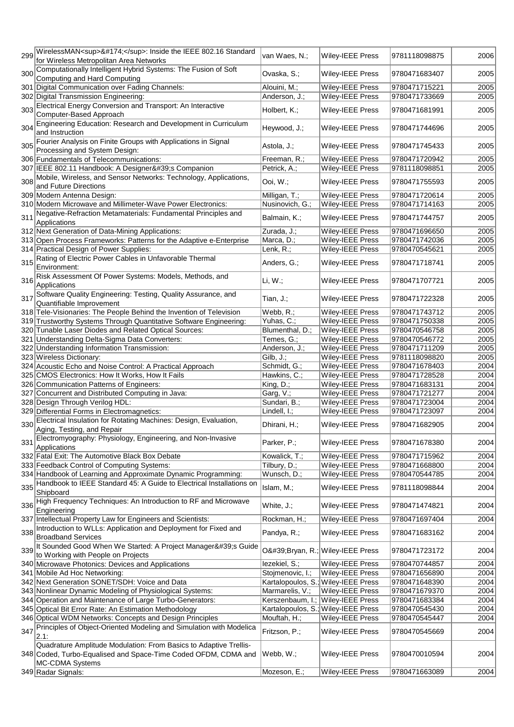| 299 | WirelessMAN <sup>®</sup> : Inside the IEEE 802.16 Standard<br>for Wireless Metropolitan Area Networks                                                  | van Waes, N.;    | <b>Wiley-IEEE Press</b>             | 9781118098875 | 2006 |
|-----|--------------------------------------------------------------------------------------------------------------------------------------------------------|------------------|-------------------------------------|---------------|------|
|     | Computationally Intelligent Hybrid Systems: The Fusion of Soft                                                                                         |                  |                                     |               |      |
| 300 | Computing and Hard Computing                                                                                                                           | Ovaska, S.;      | Wiley-IEEE Press                    | 9780471683407 | 2005 |
|     | 301 Digital Communication over Fading Channels:                                                                                                        | Alouini, M.;     | Wiley-IEEE Press                    | 9780471715221 | 2005 |
|     | 302 Digital Transmission Engineering:                                                                                                                  | Anderson, J.;    | Wiley-IEEE Press                    | 9780471733669 | 2005 |
| 303 | Electrical Energy Conversion and Transport: An Interactive<br>Computer-Based Approach                                                                  | Holbert, K.;     | Wiley-IEEE Press                    | 9780471681991 | 2005 |
| 304 | Engineering Education: Research and Development in Curriculum<br>and Instruction                                                                       | Heywood, J.;     | Wiley-IEEE Press                    | 9780471744696 | 2005 |
| 305 | Fourier Analysis on Finite Groups with Applications in Signal<br>Processing and System Design:                                                         | Astola, J.;      | Wiley-IEEE Press                    | 9780471745433 | 2005 |
|     | 306 Fundamentals of Telecommunications:                                                                                                                | Freeman, R.;     | Wiley-IEEE Press                    | 9780471720942 | 2005 |
|     | 307 IEEE 802.11 Handbook: A Designer's Companion                                                                                                       | Petrick, A.;     | Wiley-IEEE Press                    | 9781118098851 | 2005 |
|     | 308 Mobile, Wireless, and Sensor Networks: Technology, Applications,                                                                                   |                  |                                     |               |      |
|     | and Future Directions                                                                                                                                  | Ooi, W.;         | <b>Wiley-IEEE Press</b>             | 9780471755593 | 2005 |
|     | 309 Modern Antenna Design:                                                                                                                             | Milligan, T.;    | Wiley-IEEE Press                    | 9780471720614 | 2005 |
|     | 310 Modern Microwave and Millimeter-Wave Power Electronics:                                                                                            | Nusinovich, G.;  | Wiley-IEEE Press                    | 9780471714163 | 2005 |
| 311 | Negative-Refraction Metamaterials: Fundamental Principles and<br>Applications                                                                          | Balmain, K.;     | Wiley-IEEE Press                    | 9780471744757 | 2005 |
|     | 312 Next Generation of Data-Mining Applications:                                                                                                       | Zurada, J.;      | Wiley-IEEE Press                    | 9780471696650 | 2005 |
|     | 313 Open Process Frameworks: Patterns for the Adaptive e-Enterprise                                                                                    | Marca, D.;       | Wiley-IEEE Press                    | 9780471742036 | 2005 |
|     | 314 Practical Design of Power Supplies:                                                                                                                | Lenk, R.;        | Wiley-IEEE Press                    | 9780470545621 | 2005 |
| 315 | Rating of Electric Power Cables in Unfavorable Thermal<br>Environment:                                                                                 | Anders, G.;      | Wiley-IEEE Press                    | 9780471718741 | 2005 |
| 316 | Risk Assessment Of Power Systems: Models, Methods, and<br>Applications                                                                                 | $Li, W.$ ;       | Wiley-IEEE Press                    | 9780471707721 | 2005 |
|     | 317 Software Quality Engineering: Testing, Quality Assurance, and<br>Quantifiable Improvement                                                          | Tian, J.;        | Wiley-IEEE Press                    | 9780471722328 | 2005 |
|     | 318 Tele-Visionaries: The People Behind the Invention of Television                                                                                    | Webb, R.;        | Wiley-IEEE Press                    | 9780471743712 | 2005 |
|     | 319 Trustworthy Systems Through Quantitative Software Engineering:                                                                                     | Yuhas, C.;       | Wiley-IEEE Press                    | 9780471750338 | 2005 |
|     | 320 Tunable Laser Diodes and Related Optical Sources:                                                                                                  | Blumenthal, D.;  | Wiley-IEEE Press                    | 9780470546758 | 2005 |
|     | 321 Understanding Delta-Sigma Data Converters:                                                                                                         | Temes, G.;       | Wiley-IEEE Press                    | 9780470546772 | 2005 |
|     | 322 Understanding Information Transmission:                                                                                                            | Anderson, J.;    | Wiley-IEEE Press                    | 9780471711209 | 2005 |
|     | 323 Wireless Dictionary:                                                                                                                               | $Gilb, J.$ ;     | Wiley-IEEE Press                    | 9781118098820 | 2005 |
|     | 324 Acoustic Echo and Noise Control: A Practical Approach                                                                                              | Schmidt, G.;     | Wiley-IEEE Press                    | 9780471678403 | 2004 |
|     | 325 CMOS Electronics: How It Works, How It Fails                                                                                                       | Hawkins, C.;     | Wiley-IEEE Press                    | 9780471728528 | 2004 |
|     | 326 Communication Patterns of Engineers:                                                                                                               | King, D.;        | Wiley-IEEE Press                    | 9780471683131 | 2004 |
|     | 327 Concurrent and Distributed Computing in Java:                                                                                                      | Garg, V.;        | Wiley-IEEE Press                    | 9780471721277 | 2004 |
|     | 328 Design Through Verilog HDL:                                                                                                                        | Sundari, B.;     | Wiley-IEEE Press                    | 9780471723004 | 2004 |
|     | 329 Differential Forms in Electromagnetics:                                                                                                            | Lindell, I.;     | <b>Wiley-IEEE Press</b>             | 9780471723097 | 2004 |
| 330 | Electrical Insulation for Rotating Machines: Design, Evaluation,<br>Aging, Testing, and Repair                                                         | Dhirani, H.;     | Wiley-IEEE Press                    | 9780471682905 | 2004 |
| 331 | Electromyography: Physiology, Engineering, and Non-Invasive<br>Applications                                                                            | Parker, P.;      | <b>Wiley-IEEE Press</b>             | 9780471678380 | 2004 |
|     | 332 Fatal Exit: The Automotive Black Box Debate                                                                                                        | Kowalick, T.;    | <b>Wiley-IEEE Press</b>             | 9780471715962 | 2004 |
|     | 333 Feedback Control of Computing Systems:                                                                                                             | Tilbury, D.;     | Wiley-IEEE Press                    | 9780471668800 | 2004 |
|     | 334 Handbook of Learning and Approximate Dynamic Programming:                                                                                          | Wunsch, D.;      | Wiley-IEEE Press                    | 9780470544785 | 2004 |
| 335 | Handbook to IEEE Standard 45: A Guide to Electrical Installations on<br>Shipboard                                                                      | Islam, M.;       | <b>Wiley-IEEE Press</b>             | 9781118098844 | 2004 |
| 336 | High Frequency Techniques: An Introduction to RF and Microwave<br>Engineering                                                                          | White, J.;       | Wiley-IEEE Press                    | 9780471474821 | 2004 |
|     | 337 Intellectual Property Law for Engineers and Scientists:                                                                                            | Rockman, H.;     | Wiley-IEEE Press                    | 9780471697404 | 2004 |
| 338 | Introduction to WLLs: Application and Deployment for Fixed and<br><b>Broadband Services</b>                                                            | Pandya, R.;      | Wiley-IEEE Press                    | 9780471683162 | 2004 |
| 339 | It Sounded Good When We Started: A Project Manager's Guide<br>to Working with People on Projects                                                       |                  | O'Bryan, R.; Wiley-IEEE Press       | 9780471723172 | 2004 |
|     | 340 Microwave Photonics: Devices and Applications                                                                                                      | lezekiel, S.;    | <b>Wiley-IEEE Press</b>             | 9780470744857 | 2004 |
|     | 341 Mobile Ad Hoc Networking:                                                                                                                          | Stojmenovic, I.; | Wiley-IEEE Press                    | 9780471656890 | 2004 |
|     | 342 Next Generation SONET/SDH: Voice and Data                                                                                                          |                  | Kartalopoulos, S.; Wiley-IEEE Press | 9780471648390 | 2004 |
|     | 343 Nonlinear Dynamic Modeling of Physiological Systems:                                                                                               | Marmarelis, V.;  | <b>Wiley-IEEE Press</b>             | 9780471679370 | 2004 |
|     | 344 Operation and Maintenance of Large Turbo-Generators:                                                                                               |                  | Kerszenbaum, I.; Wiley-IEEE Press   | 9780471683384 | 2004 |
|     | 345 Optical Bit Error Rate: An Estimation Methodology                                                                                                  |                  | Kartalopoulos, S.; Wiley-IEEE Press | 9780470545430 | 2004 |
|     | 346 Optical WDM Networks: Concepts and Design Principles                                                                                               | Mouftah, H.;     | Wiley-IEEE Press                    | 9780470545447 | 2004 |
| 347 | Principles of Object-Oriented Modeling and Simulation with Modelica<br>2.1:                                                                            | Fritzson, P.;    | <b>Wiley-IEEE Press</b>             | 9780470545669 | 2004 |
|     | Quadrature Amplitude Modulation: From Basics to Adaptive Trellis-<br>348 Coded, Turbo-Equalised and Space-Time Coded OFDM, CDMA and<br>MC-CDMA Systems | Webb, W.;        | Wiley-IEEE Press                    | 9780470010594 | 2004 |
|     | 349 Radar Signals:                                                                                                                                     | Mozeson, E.;     | Wiley-IEEE Press                    | 9780471663089 | 2004 |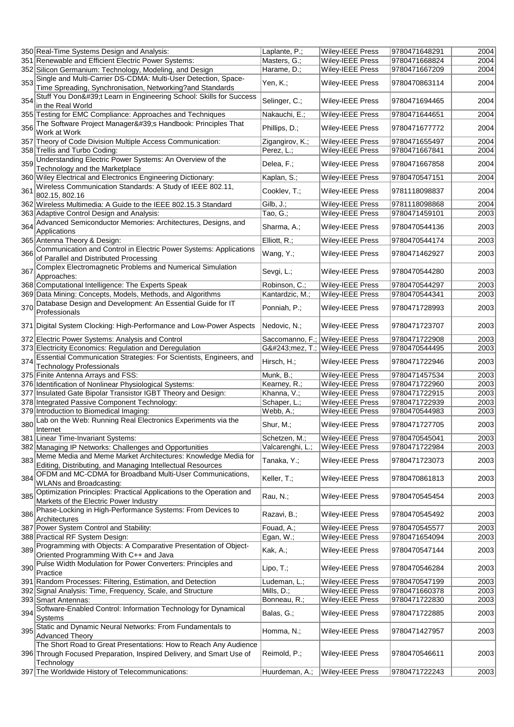|     | 350 Real-Time Systems Design and Analysis:                                                                                      | Laplante, P.;    | <b>Wiley-IEEE Press</b>          | 9780471648291 | 2004 |
|-----|---------------------------------------------------------------------------------------------------------------------------------|------------------|----------------------------------|---------------|------|
|     | 351 Renewable and Efficient Electric Power Systems:                                                                             | Masters, G.;     | <b>Wiley-IEEE Press</b>          | 9780471668824 | 2004 |
|     | 352 Silicon Germanium: Technology, Modeling, and Design                                                                         | Harame, D.;      | Wiley-IEEE Press                 | 9780471667209 | 2004 |
|     | 353 Single and Multi-Carrier DS-CDMA: Multi-User Detection, Space-                                                              |                  |                                  |               |      |
|     | Time Spreading, Synchronisation, Networking?and Standards                                                                       | Yen, K.;         | Wiley-IEEE Press                 | 9780470863114 | 2004 |
|     | Stuff You Don't Learn in Engineering School: Skills for Success                                                                 |                  |                                  |               |      |
| 354 | in the Real World                                                                                                               | Selinger, C.;    | Wiley-IEEE Press                 | 9780471694465 | 2004 |
|     |                                                                                                                                 |                  |                                  |               |      |
|     | 355 Testing for EMC Compliance: Approaches and Techniques                                                                       | Nakauchi, E.;    | Wiley-IEEE Press                 | 9780471644651 | 2004 |
| 356 | The Software Project Manager's Handbook: Principles That                                                                        | Phillips, D.;    | Wiley-IEEE Press                 | 9780471677772 | 2004 |
|     | Work at Work                                                                                                                    |                  |                                  |               |      |
|     | 357 Theory of Code Division Multiple Access Communication:                                                                      | Zigangirov, K.;  | Wiley-IEEE Press                 | 9780471655497 | 2004 |
|     | 358 Trellis and Turbo Coding:                                                                                                   | Perez, L.;       | Wiley-IEEE Press                 | 9780471667841 | 2004 |
|     | Understanding Electric Power Systems: An Overview of the                                                                        |                  |                                  |               |      |
| 359 | Technology and the Marketplace                                                                                                  | Delea, F.;       | Wiley-IEEE Press                 | 9780471667858 | 2004 |
|     | 360 Wiley Electrical and Electronics Engineering Dictionary:                                                                    | Kaplan, S.;      | Wiley-IEEE Press                 | 9780470547151 | 2004 |
|     | Wireless Communication Standards: A Study of IEEE 802.11,                                                                       |                  |                                  |               |      |
| 361 |                                                                                                                                 | Cooklev, T.;     | Wiley-IEEE Press                 | 9781118098837 | 2004 |
|     | 802.15, 802.16                                                                                                                  |                  |                                  |               |      |
|     | 362 Wireless Multimedia: A Guide to the IEEE 802.15.3 Standard                                                                  | $Gilb, J$ ;      | Wiley-IEEE Press                 | 9781118098868 | 2004 |
|     | 363 Adaptive Control Design and Analysis:                                                                                       | Tao, G.;         | Wiley-IEEE Press                 | 9780471459101 | 2003 |
| 364 | Advanced Semiconductor Memories: Architectures, Designs, and                                                                    |                  |                                  |               |      |
|     | Applications                                                                                                                    | Sharma, A.;      | Wiley-IEEE Press                 | 9780470544136 | 2003 |
|     | 365 Antenna Theory & Design:                                                                                                    | Elliott, R.;     | Wiley-IEEE Press                 | 9780470544174 | 2003 |
|     | Communication and Control in Electric Power Systems: Applications                                                               |                  |                                  |               |      |
| 366 | of Parallel and Distributed Processing                                                                                          | Wang, Y.;        | Wiley-IEEE Press                 | 9780471462927 | 2003 |
|     |                                                                                                                                 |                  |                                  |               |      |
| 367 | Complex Electromagnetic Problems and Numerical Simulation                                                                       | Sevgi, L.;       | Wiley-IEEE Press                 | 9780470544280 | 2003 |
|     | Approaches:                                                                                                                     |                  |                                  |               |      |
|     | 368 Computational Intelligence: The Experts Speak                                                                               | Robinson, C.;    | Wiley-IEEE Press                 | 9780470544297 | 2003 |
|     | 369 Data Mining: Concepts, Models, Methods, and Algorithms                                                                      | Kantardzic, M.;  | Wiley-IEEE Press                 | 9780470544341 | 2003 |
|     | Database Design and Development: An Essential Guide for IT                                                                      |                  |                                  |               |      |
| 370 | Professionals                                                                                                                   | Ponniah, P.;     | <b>Wiley-IEEE Press</b>          | 9780471728993 | 2003 |
|     |                                                                                                                                 |                  |                                  |               |      |
|     | 371 Digital System Clocking: High-Performance and Low-Power Aspects                                                             | Nedovic, N.;     | <b>Wiley-IEEE Press</b>          | 9780471723707 | 2003 |
|     |                                                                                                                                 |                  |                                  |               |      |
|     | 372 Electric Power Systems: Analysis and Control                                                                                |                  | Saccomanno, F.; Wiley-IEEE Press | 9780471722908 | 2003 |
|     | 373 Electricity Economics: Regulation and Deregulation                                                                          |                  | Gómez, T.; Wiley-IEEE Press      | 9780470544495 | 2003 |
| 374 | Essential Communication Strategies: For Scientists, Engineers, and                                                              |                  |                                  |               |      |
|     |                                                                                                                                 | Hirsch, H.;      | <b>Wiley-IEEE Press</b>          | 9780471722946 | 2003 |
|     |                                                                                                                                 |                  |                                  |               |      |
|     | <b>Technology Professionals</b>                                                                                                 |                  |                                  |               |      |
|     | 375 Finite Antenna Arrays and FSS:                                                                                              | Munk, B.;        | Wiley-IEEE Press                 | 9780471457534 | 2003 |
|     | 376 Identification of Nonlinear Physiological Systems:                                                                          | Kearney, R.;     | Wiley-IEEE Press                 | 9780471722960 | 2003 |
|     | 377 Insulated Gate Bipolar Transistor IGBT Theory and Design:                                                                   | Khanna, V.;      | Wiley-IEEE Press                 | 9780471722915 | 2003 |
|     | 378 Integrated Passive Component Technology:                                                                                    | Schaper, L.;     | Wiley-IEEE Press                 | 9780471722939 | 2003 |
|     |                                                                                                                                 |                  |                                  | 9780470544983 |      |
|     | 379 Introduction to Biomedical Imaging:                                                                                         | Webb, A.;        | Wiley-IEEE Press                 |               | 2003 |
| 380 | Lab on the Web: Running Real Electronics Experiments via the                                                                    | Shur, M.;        | Wiley-IEEE Press                 | 9780471727705 | 2003 |
|     | Internet                                                                                                                        |                  |                                  |               |      |
|     | 381 Linear Time-Invariant Systems:                                                                                              | Schetzen, M.;    | Wiley-IEEE Press                 | 9780470545041 | 2003 |
|     | 382 Managing IP Networks: Challenges and Opportunities                                                                          | Valcarenghi, L.; | <b>Wiley-IEEE Press</b>          | 9780471722984 | 2003 |
|     |                                                                                                                                 |                  |                                  |               |      |
|     | 383 Meme Media and Meme Market Architectures: Knowledge Media for<br>Editing, Distributing, and Managing Intellectual Resources | Tanaka, Y.;      | <b>Wiley-IEEE Press</b>          | 9780471723073 | 2003 |
|     | OFDM and MC-CDMA for Broadband Multi-User Communications,                                                                       |                  |                                  |               |      |
| 384 | WLANs and Broadcasting:                                                                                                         | Keller, T.;      | <b>Wiley-IEEE Press</b>          | 9780470861813 | 2003 |
|     |                                                                                                                                 |                  |                                  |               |      |
|     | Optimization Principles: Practical Applications to the Operation and                                                            | Rau, N.;         | <b>Wiley-IEEE Press</b>          | 9780470545454 | 2003 |
| 385 | Markets of the Electric Power Industry                                                                                          |                  |                                  |               |      |
|     | Phase-Locking in High-Performance Systems: From Devices to                                                                      |                  |                                  | 9780470545492 | 2003 |
| 386 | Architectures                                                                                                                   | Razavi, B.;      | Wiley-IEEE Press                 |               |      |
|     | 387 Power System Control and Stability:                                                                                         | Fouad, A.;       | <b>Wiley-IEEE Press</b>          | 9780470545577 | 2003 |
|     | 388 Practical RF System Design:                                                                                                 | Egan, W.;        | Wiley-IEEE Press                 | 9780471654094 | 2003 |
|     |                                                                                                                                 |                  |                                  |               |      |
| 389 | Programming with Objects: A Comparative Presentation of Object-                                                                 | Kak, A.;         | Wiley-IEEE Press                 | 9780470547144 | 2003 |
|     | Oriented Programming With C++ and Java                                                                                          |                  |                                  |               |      |
| 390 | Pulse Width Modulation for Power Converters: Principles and                                                                     | Lipo, T.;        | Wiley-IEEE Press                 | 9780470546284 | 2003 |
|     | Practice                                                                                                                        |                  |                                  |               |      |
|     | 391 Random Processes: Filtering, Estimation, and Detection                                                                      | Ludeman, L.;     | Wiley-IEEE Press                 | 9780470547199 | 2003 |
|     | 392 Signal Analysis: Time, Frequency, Scale, and Structure                                                                      | Mills, D.;       | Wiley-IEEE Press                 | 9780471660378 | 2003 |
|     | 393 Smart Antennas:                                                                                                             | Bonneau, R.;     | Wiley-IEEE Press                 | 9780471722830 | 2003 |
|     |                                                                                                                                 |                  |                                  |               |      |
| 394 | Software-Enabled Control: Information Technology for Dynamical                                                                  | Balas, G.;       | <b>Wiley-IEEE Press</b>          | 9780471722885 | 2003 |
|     | Systems                                                                                                                         |                  |                                  |               |      |
| 395 | Static and Dynamic Neural Networks: From Fundamentals to                                                                        | Homma, N.;       | Wiley-IEEE Press                 | 9780471427957 | 2003 |
|     | <b>Advanced Theory</b>                                                                                                          |                  |                                  |               |      |
|     | The Short Road to Great Presentations: How to Reach Any Audience                                                                |                  |                                  |               |      |
|     | 396 Through Focused Preparation, Inspired Delivery, and Smart Use of                                                            | Reimold, P.;     | <b>Wiley-IEEE Press</b>          | 9780470546611 | 2003 |
|     | Technology                                                                                                                      |                  |                                  |               |      |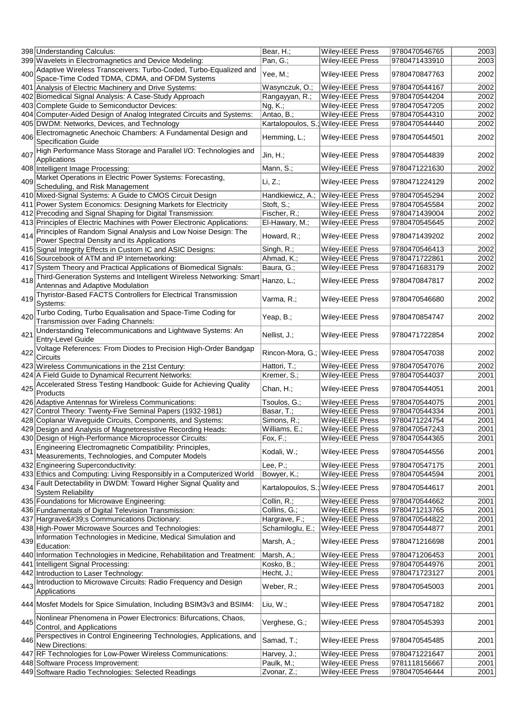|     | 398 Understanding Calculus:                                             | Bear, H.;        | Wiley-IEEE Press                    | 9780470546765 | 2003 |
|-----|-------------------------------------------------------------------------|------------------|-------------------------------------|---------------|------|
|     | 399 Wavelets in Electromagnetics and Device Modeling:                   | Pan, G.;         | Wiley-IEEE Press                    | 9780471433910 | 2003 |
|     | 400 Adaptive Wireless Transceivers: Turbo-Coded, Turbo-Equalized and    | Yee, M.;         | <b>Wiley-IEEE Press</b>             | 9780470847763 | 2002 |
|     | Space-Time Coded TDMA, CDMA, and OFDM Systems                           |                  |                                     |               |      |
|     | 401 Analysis of Electric Machinery and Drive Systems:                   | Wasynczuk, O.;   | <b>Wiley-IEEE Press</b>             | 9780470544167 | 2002 |
|     | 402 Biomedical Signal Analysis: A Case-Study Approach                   | Rangayyan, R.;   | Wiley-IEEE Press                    | 9780470544204 | 2002 |
|     | 403 Complete Guide to Semiconductor Devices:                            | $Ng, K$ .;       | Wiley-IEEE Press                    | 9780470547205 | 2002 |
|     | 404 Computer-Aided Design of Analog Integrated Circuits and Systems:    | Antao, B.;       | Wiley-IEEE Press                    | 9780470544310 | 2002 |
|     | 405 DWDM: Networks, Devices, and Technology                             |                  | Kartalopoulos, S.; Wiley-IEEE Press | 9780470544440 | 2002 |
|     |                                                                         |                  |                                     |               |      |
| 406 | Electromagnetic Anechoic Chambers: A Fundamental Design and             | Hemming, L.;     | Wiley-IEEE Press                    | 9780470544501 | 2002 |
|     | <b>Specification Guide</b>                                              |                  |                                     |               |      |
| 407 | High Performance Mass Storage and Parallel I/O: Technologies and        | $Jin, H$ .;      | Wiley-IEEE Press                    | 9780470544839 | 2002 |
|     | Applications                                                            |                  |                                     |               |      |
|     | 408 Intelligent Image Processing:                                       | Mann, S.;        | <b>Wiley-IEEE Press</b>             | 9780471221630 | 2002 |
|     | 409 Market Operations in Electric Power Systems: Forecasting,           |                  |                                     |               |      |
|     | Scheduling, and Risk Management                                         | Li, Z.;          | <b>Wiley-IEEE Press</b>             | 9780471224129 | 2002 |
|     | 410 Mixed-Signal Systems: A Guide to CMOS Circuit Design                | Handkiewicz, A.; | Wiley-IEEE Press                    | 9780470545294 | 2002 |
|     |                                                                         |                  |                                     |               |      |
|     | 411 Power System Economics: Designing Markets for Electricity           | Stoft, S.;       | Wiley-IEEE Press                    | 9780470545584 | 2002 |
|     | 412 Precoding and Signal Shaping for Digital Transmission:              | Fischer, R.;     | Wiley-IEEE Press                    | 9780471439004 | 2002 |
|     | 413 Principles of Electric Machines with Power Electronic Applications: | El-Hawary, M.;   | Wiley-IEEE Press                    | 9780470545645 | 2002 |
|     | Principles of Random Signal Analysis and Low Noise Design: The          |                  |                                     |               |      |
| 414 | Power Spectral Density and its Applications                             | Howard, R.;      | Wiley-IEEE Press                    | 9780471439202 | 2002 |
|     | 415 Signal Integrity Effects in Custom IC and ASIC Designs:             | Singh, R.;       | <b>Wiley-IEEE Press</b>             | 9780470546413 | 2002 |
|     |                                                                         |                  |                                     |               |      |
|     | 416 Sourcebook of ATM and IP Internetworking:                           | Ahmad, K.;       | Wiley-IEEE Press                    | 9780471722861 | 2002 |
|     | 417 System Theory and Practical Applications of Biomedical Signals:     | Baura, G.;       | Wiley-IEEE Press                    | 9780471683179 | 2002 |
| 418 | Third-Generation Systems and Intelligent Wireless Networking: Smart     | Hanzo, L.;       | Wiley-IEEE Press                    | 9780470847817 | 2002 |
|     | Antennas and Adaptive Modulation                                        |                  |                                     |               |      |
|     | Thyristor-Based FACTS Controllers for Electrical Transmission           |                  |                                     |               |      |
| 419 | Systems:                                                                | Varma, R.;       | Wiley-IEEE Press                    | 9780470546680 | 2002 |
|     | Turbo Coding, Turbo Equalisation and Space-Time Coding for              |                  |                                     |               |      |
| 420 |                                                                         | Yeap, B.;        | Wiley-IEEE Press                    | 9780470854747 | 2002 |
|     | Transmission over Fading Channels:                                      |                  |                                     |               |      |
| 421 | Understanding Telecommunications and Lightwave Systems: An              | Nellist, J.;     | <b>Wiley-IEEE Press</b>             | 9780471722854 | 2002 |
|     | <b>Entry-Level Guide</b>                                                |                  |                                     |               |      |
|     | Voltage References: From Diodes to Precision High-Order Bandgap         |                  |                                     |               |      |
| 422 | Circuits                                                                | Rincon-Mora, G.; | Wiley-IEEE Press                    | 9780470547038 | 2002 |
|     | 423 Wireless Communications in the 21st Century:                        | Hattori, T.;     | <b>Wiley-IEEE Press</b>             | 9780470547076 | 2002 |
|     |                                                                         |                  |                                     |               |      |
|     | 424 A Field Guide to Dynamical Recurrent Networks:                      | Kremer, S.;      | Wiley-IEEE Press                    | 9780470544037 | 2001 |
| 425 | Accelerated Stress Testing Handbook: Guide for Achieving Quality        | Chan, H.;        | Wiley-IEEE Press                    | 9780470544051 | 2001 |
|     | Products                                                                |                  |                                     |               |      |
|     | 426 Adaptive Antennas for Wireless Communications:                      | Tsoulos, G.;     | Wiley-IEEE Press                    | 9780470544075 | 2001 |
|     | 427 Control Theory: Twenty-Five Seminal Papers (1932-1981)              | Basar, T.;       | Wiley-IEEE Press                    | 9780470544334 | 2001 |
|     | 428 Coplanar Waveguide Circuits, Components, and Systems:               | Simons, R.;      | Wiley-IEEE Press                    | 9780471224754 | 2001 |
|     |                                                                         |                  |                                     |               |      |
|     | 429 Design and Analysis of Magnetoresistive Recording Heads:            | Williams, E.;    | Wiley-IEEE Press                    | 9780470547243 | 2001 |
|     | 430 Design of High-Performance Microprocessor Circuits:                 | Fox, F.;         | Wiley-IEEE Press                    | 9780470544365 | 2001 |
| 431 | Engineering Electromagnetic Compatibility: Principles,                  | Kodali, W.;      | Wiley-IEEE Press                    | 9780470544556 | 2001 |
|     | Measurements, Technologies, and Computer Models                         |                  |                                     |               |      |
|     | 432 Engineering Superconductivity:                                      | Lee, $P$ .;      | Wiley-IEEE Press                    | 9780470547175 | 2001 |
|     | 433 Ethics and Computing: Living Responsibly in a Computerized World    | Bowyer, K.;      | Wiley-IEEE Press                    | 9780470544594 | 2001 |
|     | 434 Fault Detectability in DWDM: Toward Higher Signal Quality and       |                  |                                     |               |      |
|     |                                                                         |                  | Kartalopoulos, S.; Wiley-IEEE Press | 9780470544617 | 2001 |
|     | <b>System Reliability</b>                                               |                  |                                     |               |      |
|     | 435 Foundations for Microwave Engineering:                              | Collin, R.;      | Wiley-IEEE Press                    | 9780470544662 | 2001 |
|     | 436 Fundamentals of Digital Television Transmission:                    | Collins, G.;     | Wiley-IEEE Press                    | 9780471213765 | 2001 |
|     | 437 Hargrave's Communications Dictionary:                               | Hargrave, F.;    | Wiley-IEEE Press                    | 9780470544822 | 2001 |
|     | 438 High-Power Microwave Sources and Technologies:                      | Schamiloglu, E.; | Wiley-IEEE Press                    | 9780470544877 | 2001 |
|     | Information Technologies in Medicine, Medical Simulation and            |                  |                                     |               |      |
| 439 | Education:                                                              | Marsh, A.;       | Wiley-IEEE Press                    | 9780471216698 | 2001 |
|     |                                                                         |                  |                                     |               |      |
|     | 440 Information Technologies in Medicine, Rehabilitation and Treatment: | Marsh, A.;       | Wiley-IEEE Press                    | 9780471206453 | 2001 |
|     | 441 Intelligent Signal Processing:                                      | Kosko, B.;       | Wiley-IEEE Press                    | 9780470544976 | 2001 |
|     | 442 Introduction to Laser Technology:                                   | Hecht, J.;       | Wiley-IEEE Press                    | 9780471723127 | 2001 |
|     | 443 Introduction to Microwave Circuits: Radio Frequency and Design      |                  |                                     |               |      |
|     | Applications                                                            | Weber, R.;       | Wiley-IEEE Press                    | 9780470545003 | 2001 |
|     |                                                                         |                  |                                     |               |      |
|     | 444 Mosfet Models for Spice Simulation, Including BSIM3v3 and BSIM4:    | Liu, W.;         | Wiley-IEEE Press                    | 9780470547182 | 2001 |
|     |                                                                         |                  |                                     |               |      |
|     | 445 Nonlinear Phenomena in Power Electronics: Bifurcations, Chaos,      | Verghese, G.;    | <b>Wiley-IEEE Press</b>             | 9780470545393 | 2001 |
|     | Control, and Applications                                               |                  |                                     |               |      |
|     | Perspectives in Control Engineering Technologies, Applications, and     |                  |                                     |               |      |
| 446 | New Directions:                                                         | Samad, T.;       | <b>Wiley-IEEE Press</b>             | 9780470545485 | 2001 |
|     | 447 RF Technologies for Low-Power Wireless Communications:              | Harvey, J.;      | Wiley-IEEE Press                    | 9780471221647 | 2001 |
|     |                                                                         |                  |                                     |               |      |
|     | 448 Software Process Improvement:                                       | Paulk, M.;       | Wiley-IEEE Press                    | 9781118156667 | 2001 |
|     | 449 Software Radio Technologies: Selected Readings                      | Zvonar, Z.;      | Wiley-IEEE Press                    | 9780470546444 | 2001 |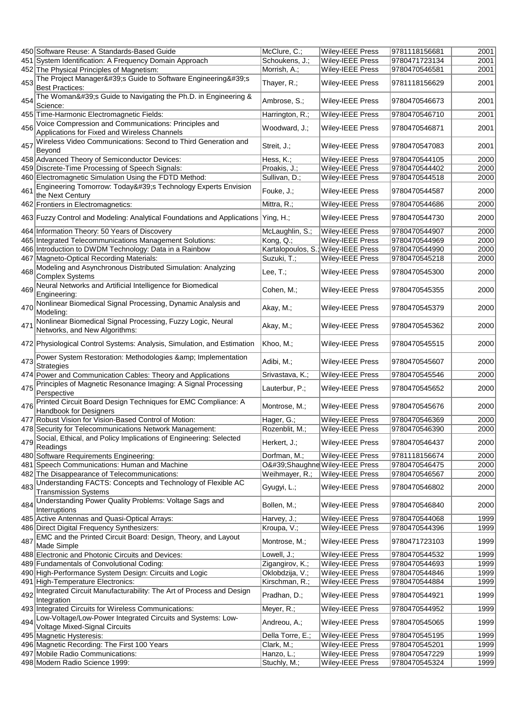|     | 450 Software Reuse: A Standards-Based Guide                                                      | McClure, C.;     | Wiley-IEEE Press                    | 9781118156681 | 2001 |
|-----|--------------------------------------------------------------------------------------------------|------------------|-------------------------------------|---------------|------|
|     | 451 System Identification: A Frequency Domain Approach                                           | Schoukens, J.;   | <b>Wiley-IEEE Press</b>             | 9780471723134 | 2001 |
|     |                                                                                                  |                  |                                     | 9780470546581 |      |
|     | 452 The Physical Principles of Magnetism:                                                        | Morrish, A.;     | <b>Wiley-IEEE Press</b>             |               | 2001 |
| 453 | The Project Manager's Guide to Software Engineering's<br><b>Best Practices:</b>                  | Thayer, R.;      | <b>Wiley-IEEE Press</b>             | 9781118156629 | 2001 |
| 454 | The Woman's Guide to Navigating the Ph.D. in Engineering &<br>Science:                           | Ambrose, S.;     | <b>Wiley-IEEE Press</b>             | 9780470546673 | 2001 |
|     | 455 Time-Harmonic Electromagnetic Fields:                                                        | Harrington, R.;  | Wiley-IEEE Press                    | 9780470546710 | 2001 |
|     | Voice Compression and Communications: Principles and                                             |                  |                                     |               |      |
| 456 | Applications for Fixed and Wireless Channels                                                     | Woodward, J.;    | Wiley-IEEE Press                    | 9780470546871 | 2001 |
| 457 | Wireless Video Communications: Second to Third Generation and<br>Beyond                          | Streit, J.;      | Wiley-IEEE Press                    | 9780470547083 | 2001 |
|     | 458 Advanced Theory of Semiconductor Devices:                                                    | Hess, K.;        | Wiley-IEEE Press                    | 9780470544105 | 2000 |
|     | 459 Discrete-Time Processing of Speech Signals:                                                  | Proakis, J.;     | <b>Wiley-IEEE Press</b>             | 9780470544402 | 2000 |
|     | 460 Electromagnetic Simulation Using the FDTD Method:                                            | Sullivan, D.;    | Wiley-IEEE Press                    | 9780470544518 | 2000 |
|     | Engineering Tomorrow: Today's Technology Experts Envision                                        |                  |                                     |               |      |
| 461 | the Next Century                                                                                 | Fouke, J.;       | Wiley-IEEE Press                    | 9780470544587 | 2000 |
|     | 462 Frontiers in Electromagnetics:                                                               | Mittra, R.;      | Wiley-IEEE Press                    | 9780470544686 | 2000 |
|     | 463 Fuzzy Control and Modeling: Analytical Foundations and Applications                          | Ying, H.;        | Wiley-IEEE Press                    | 9780470544730 | 2000 |
|     | 464 Information Theory: 50 Years of Discovery                                                    | McLaughlin, S.;  | <b>Wiley-IEEE Press</b>             | 9780470544907 | 2000 |
|     | 465 Integrated Telecommunications Management Solutions:                                          | Kong, Q.;        | Wiley-IEEE Press                    | 9780470544969 | 2000 |
|     | 466 Introduction to DWDM Technology: Data in a Rainbow                                           |                  | Kartalopoulos, S.; Wiley-IEEE Press | 9780470544990 | 2000 |
|     | 467 Magneto-Optical Recording Materials:                                                         | Suzuki, T.;      | Wiley-IEEE Press                    | 9780470545218 | 2000 |
|     | 468 Modeling and Asynchronous Distributed Simulation: Analyzing                                  |                  |                                     |               |      |
|     | <b>Complex Systems</b><br>Neural Networks and Artificial Intelligence for Biomedical             | Lee, $T$ .;      | Wiley-IEEE Press                    | 9780470545300 | 2000 |
| 469 | Engineering:                                                                                     | Cohen, M.;       | Wiley-IEEE Press                    | 9780470545355 | 2000 |
|     | 470 Nonlinear Biomedical Signal Processing, Dynamic Analysis and<br>Modeling:                    | Akay, M.;        | Wiley-IEEE Press                    | 9780470545379 | 2000 |
| 471 | Nonlinear Biomedical Signal Processing, Fuzzy Logic, Neural<br>Networks, and New Algorithms:     | Akay, M.;        | Wiley-IEEE Press                    | 9780470545362 | 2000 |
|     | 472 Physiological Control Systems: Analysis, Simulation, and Estimation                          | Khoo, M.;        | Wiley-IEEE Press                    | 9780470545515 | 2000 |
| 473 | Power System Restoration: Methodologies & Implementation<br><b>Strategies</b>                    | Adibi, M.;       | Wiley-IEEE Press                    | 9780470545607 | 2000 |
|     | 474 Power and Communication Cables: Theory and Applications                                      | Srivastava, K.;  | Wiley-IEEE Press                    | 9780470545546 | 2000 |
|     | Principles of Magnetic Resonance Imaging: A Signal Processing                                    |                  |                                     |               |      |
| 475 | Perspective                                                                                      | Lauterbur, P.;   | Wiley-IEEE Press                    | 9780470545652 | 2000 |
| 476 | Printed Circuit Board Design Techniques for EMC Compliance: A<br>Handbook for Designers          | Montrose, M.;    | Wiley-IEEE Press                    | 9780470545676 | 2000 |
|     | 477 Robust Vision for Vision-Based Control of Motion:                                            | Hager, G.;       | Wiley-IEEE Press                    | 9780470546369 | 2000 |
|     | 478 Security for Telecommunications Network Management:                                          | Rozenblit, M.;   | Wiley-IEEE Press                    | 9780470546390 | 2000 |
|     | 479 Social, Ethical, and Policy Implications of Engineering: Selected<br>Readings                | Herkert, J.;     | Wiley-IEEE Press                    | 9780470546437 | 2000 |
|     | 480 Software Requirements Engineering:                                                           | Dorfman, M.;     | Wiley-IEEE Press                    | 9781118156674 | 2000 |
|     | 481 Speech Communications: Human and Machine                                                     |                  | O'Shaughne Wiley-IEEE Press         | 9780470546475 | 2000 |
|     | 482 The Disappearance of Telecommunications:                                                     | Weihmayer, R.;   | Wiley-IEEE Press                    | 9780470546567 | 2000 |
|     | Understanding FACTS: Concepts and Technology of Flexible AC                                      |                  |                                     |               |      |
| 483 | <b>Transmission Systems</b>                                                                      | Gyugyi, L.;      | <b>Wiley-IEEE Press</b>             | 9780470546802 | 2000 |
| 484 | <b>Understanding Power Quality Problems: Voltage Sags and</b><br>Interruptions                   | Bollen, M.;      | Wiley-IEEE Press                    | 9780470546840 | 2000 |
|     | 485 Active Antennas and Quasi-Optical Arrays:                                                    | Harvey, J.;      | Wiley-IEEE Press                    | 9780470544068 | 1999 |
|     | 486 Direct Digital Frequency Synthesizers:                                                       | Kroupa, V.;      | Wiley-IEEE Press                    | 9780470544396 | 1999 |
|     | 487 EMC and the Printed Circuit Board: Design, Theory, and Layout<br>Made Simple                 | Montrose, M.;    | Wiley-IEEE Press                    | 9780471723103 | 1999 |
|     | 488 Electronic and Photonic Circuits and Devices:                                                | Lowell, J.;      | Wiley-IEEE Press                    | 9780470544532 | 1999 |
|     | 489 Fundamentals of Convolutional Coding:                                                        | Zigangirov, K.;  | Wiley-IEEE Press                    | 9780470544693 | 1999 |
|     | 490 High-Performance System Design: Circuits and Logic                                           | Oklobdzija, V.;  | Wiley-IEEE Press                    | 9780470544846 | 1999 |
|     | 491 High-Temperature Electronics:                                                                | Kirschman, R.;   | Wiley-IEEE Press                    | 9780470544884 | 1999 |
| 492 | Integrated Circuit Manufacturability: The Art of Process and Design                              | Pradhan, D.;     | Wiley-IEEE Press                    | 9780470544921 | 1999 |
|     | Integration<br>493 Integrated Circuits for Wireless Communications:                              | Meyer, R.;       | Wiley-IEEE Press                    | 9780470544952 | 1999 |
|     | 494 Low-Voltage/Low-Power Integrated Circuits and Systems: Low-<br>Voltage Mixed-Signal Circuits | Andreou, A.;     | Wiley-IEEE Press                    | 9780470545065 | 1999 |
|     | 495 Magnetic Hysteresis:                                                                         | Della Torre, E.; | Wiley-IEEE Press                    | 9780470545195 | 1999 |
|     | 496 Magnetic Recording: The First 100 Years                                                      | Clark, M.;       | Wiley-IEEE Press                    | 9780470545201 | 1999 |
|     | 497 Mobile Radio Communications:                                                                 | Hanzo, L.;       | Wiley-IEEE Press                    | 9780470547229 | 1999 |
|     | 498 Modern Radio Science 1999:                                                                   | Stuchly, M.;     | Wiley-IEEE Press                    | 9780470545324 | 1999 |
|     |                                                                                                  |                  |                                     |               |      |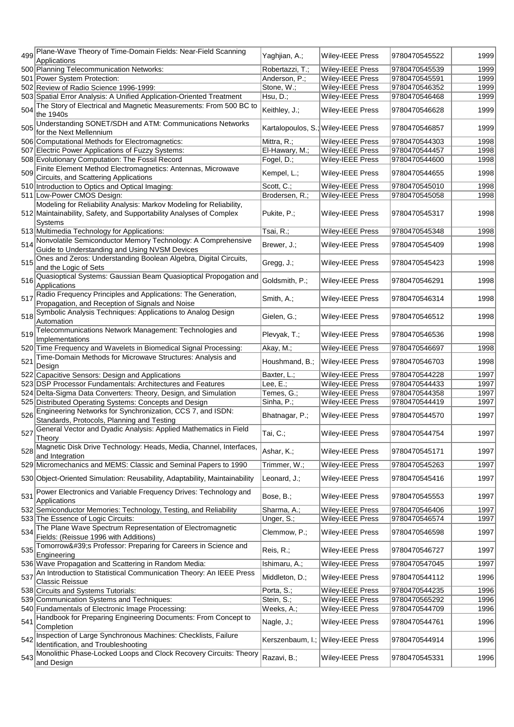| 499 | Plane-Wave Theory of Time-Domain Fields: Near-Field Scanning                                                    | Yaghjian, A.;   | Wiley-IEEE Press                    | 9780470545522 | 1999 |
|-----|-----------------------------------------------------------------------------------------------------------------|-----------------|-------------------------------------|---------------|------|
|     | Applications<br>500 Planning Telecommunication Networks:                                                        | Robertazzi, T.; | Wiley-IEEE Press                    | 9780470545539 | 1999 |
|     |                                                                                                                 |                 |                                     |               |      |
|     | 501 Power System Protection:                                                                                    | Anderson, P.;   | Wiley-IEEE Press                    | 9780470545591 | 1999 |
|     | 502 Review of Radio Science 1996-1999:                                                                          | Stone, W.;      | Wiley-IEEE Press                    | 9780470546352 | 1999 |
|     | 503 Spatial Error Analysis: A Unified Application-Oriented Treatment                                            | Hsu, D.;        | Wiley-IEEE Press                    | 9780470546468 | 1999 |
| 504 | The Story of Electrical and Magnetic Measurements: From 500 BC to<br>the 1940s                                  | Keithley, J.;   | Wiley-IEEE Press                    | 9780470546628 | 1999 |
| 505 | Understanding SONET/SDH and ATM: Communications Networks<br>for the Next Mellennium                             |                 | Kartalopoulos, S.; Wiley-IEEE Press | 9780470546857 | 1999 |
|     | 506 Computational Methods for Electromagnetics:                                                                 | Mittra, R.;     | <b>Wiley-IEEE Press</b>             | 9780470544303 | 1998 |
|     | 507 Electric Power Applications of Fuzzy Systems:                                                               | El-Hawary, M.;  | <b>Wiley-IEEE Press</b>             | 9780470544457 | 1998 |
|     |                                                                                                                 |                 |                                     |               |      |
|     | 508 Evolutionary Computation: The Fossil Record                                                                 | Fogel, D.;      | Wiley-IEEE Press                    | 9780470544600 | 1998 |
|     | 509 Finite Element Method Electromagnetics: Antennas, Microwave<br>Circuits, and Scattering Applications        | Kempel, L.;     | <b>Wiley-IEEE Press</b>             | 9780470544655 | 1998 |
|     | 510 Introduction to Optics and Optical Imaging:                                                                 | Scott, C.;      | Wiley-IEEE Press                    | 9780470545010 | 1998 |
|     | 511 Low-Power CMOS Design:                                                                                      | Brodersen, R.;  | Wiley-IEEE Press                    | 9780470545058 | 1998 |
|     | Modeling for Reliability Analysis: Markov Modeling for Reliability,                                             |                 |                                     |               |      |
|     | 512 Maintainability, Safety, and Supportability Analyses of Complex<br>Systems                                  | Pukite, P.;     | <b>Wiley-IEEE Press</b>             | 9780470545317 | 1998 |
|     | 513 Multimedia Technology for Applications:                                                                     | Tsai, R.;       | Wiley-IEEE Press                    | 9780470545348 | 1998 |
|     | 514 Nonvolatile Semiconductor Memory Technology: A Comprehensive                                                |                 |                                     |               |      |
|     | Guide to Understanding and Using NVSM Devices                                                                   | Brewer, J.;     | Wiley-IEEE Press                    | 9780470545409 | 1998 |
| 515 | Ones and Zeros: Understanding Boolean Algebra, Digital Circuits,<br>and the Logic of Sets                       | Gregg, J.;      | Wiley-IEEE Press                    | 9780470545423 | 1998 |
| 516 | Quasioptical Systems: Gaussian Beam Quasioptical Propogation and<br>Applications                                | Goldsmith, P.;  | Wiley-IEEE Press                    | 9780470546291 | 1998 |
| 517 | Radio Frequency Principles and Applications: The Generation,<br>Propagation, and Reception of Signals and Noise | Smith, A.;      | Wiley-IEEE Press                    | 9780470546314 | 1998 |
| 518 | Symbolic Analysis Techniques: Applications to Analog Design<br>Automation                                       | Gielen, G.;     | <b>Wiley-IEEE Press</b>             | 9780470546512 | 1998 |
| 519 | Telecommunications Network Management: Technologies and<br>Implementations                                      | Plevyak, T.;    | Wiley-IEEE Press                    | 9780470546536 | 1998 |
|     | 520 Time Frequency and Wavelets in Biomedical Signal Processing:                                                | Akay, M.;       | Wiley-IEEE Press                    | 9780470546697 | 1998 |
|     | Time-Domain Methods for Microwave Structures: Analysis and                                                      |                 |                                     |               |      |
| 521 | Design                                                                                                          | Houshmand, B.;  | Wiley-IEEE Press                    | 9780470546703 | 1998 |
|     | 522 Capacitive Sensors: Design and Applications                                                                 |                 | Wiley-IEEE Press                    | 9780470544228 | 1997 |
|     |                                                                                                                 | Baxter, L.;     |                                     |               |      |
|     | 523 DSP Processor Fundamentals: Architectures and Features                                                      | Lee, $E$ .;     | Wiley-IEEE Press                    | 9780470544433 | 1997 |
|     | 524 Delta-Sigma Data Converters: Theory, Design, and Simulation                                                 | Temes, G.;      | Wiley-IEEE Press                    | 9780470544358 | 1997 |
|     | 525 Distributed Operating Systems: Concepts and Design                                                          | Sinha, P.;      | Wiley-IEEE Press                    | 9780470544419 | 1997 |
| 526 | Engineering Networks for Synchronization, CCS 7, and ISDN:<br>Standards, Protocols, Planning and Testing        | Bhatnagar, P.;  | Wiley-IEEE Press                    | 9780470544570 | 1997 |
| 527 | General Vector and Dyadic Analysis: Applied Mathematics in Field<br>Theory                                      | Tai, C.;        | Wiley-IEEE Press                    | 9780470544754 | 1997 |
|     | 528 Magnetic Disk Drive Technology: Heads, Media, Channel, Interfaces,<br>and Integration                       | Ashar, K.;      | <b>Wiley-IEEE Press</b>             | 9780470545171 | 1997 |
|     | 529 Micromechanics and MEMS: Classic and Seminal Papers to 1990                                                 | Trimmer, W.;    | Wiley-IEEE Press                    | 9780470545263 | 1997 |
|     |                                                                                                                 |                 |                                     |               |      |
|     | 530 Object-Oriented Simulation: Reusability, Adaptability, Maintainability                                      | Leonard, J.;    | <b>Wiley-IEEE Press</b>             | 9780470545416 | 1997 |
| 531 | Power Electronics and Variable Frequency Drives: Technology and<br>Applications                                 | Bose, B.;       | Wiley-IEEE Press                    | 9780470545553 | 1997 |
|     | 532 Semiconductor Memories: Technology, Testing, and Reliability                                                | Sharma, A.;     | <b>Wiley-IEEE Press</b>             | 9780470546406 | 1997 |
|     | 533 The Essence of Logic Circuits:                                                                              | Unger, S.;      | Wiley-IEEE Press                    | 9780470546574 | 1997 |
| 534 | The Plane Wave Spectrum Representation of Electromagnetic<br>Fields: (Reissue 1996 with Additions)              | Clemmow, P.;    | Wiley-IEEE Press                    | 9780470546598 | 1997 |
| 535 | Tomorrow's Professor: Preparing for Careers in Science and<br>Engineering                                       | Reis, R.;       | Wiley-IEEE Press                    | 9780470546727 | 1997 |
|     | 536 Wave Propagation and Scattering in Random Media:                                                            | Ishimaru, A.;   | Wiley-IEEE Press                    | 9780470547045 | 1997 |
|     | 537 An Introduction to Statistical Communication Theory: An IEEE Press<br>Classic Reissue                       | Middleton, D.;  | <b>Wiley-IEEE Press</b>             | 9780470544112 | 1996 |
|     | 538 Circuits and Systems Tutorials:                                                                             | Porta, S.;      | Wiley-IEEE Press                    | 9780470544235 | 1996 |
|     | 539 Communication Systems and Techniques:                                                                       | Stein, S.;      | Wiley-IEEE Press                    | 9780470565292 | 1996 |
|     |                                                                                                                 | Weeks, A.;      | Wiley-IEEE Press                    | 9780470544709 | 1996 |
|     | 540 Fundamentals of Electronic Image Processing:                                                                |                 |                                     |               |      |
| 541 | Handbook for Preparing Engineering Documents: From Concept to<br>Completion                                     | Nagle, J.;      | Wiley-IEEE Press                    | 9780470544761 | 1996 |
|     | 542 Inspection of Large Synchronous Machines: Checklists, Failure<br>Identification, and Troubleshooting        |                 | Kerszenbaum, I.; Wiley-IEEE Press   | 9780470544914 | 1996 |
| 543 | Monolithic Phase-Locked Loops and Clock Recovery Circuits: Theory<br>and Design                                 | Razavi, B.;     | Wiley-IEEE Press                    | 9780470545331 | 1996 |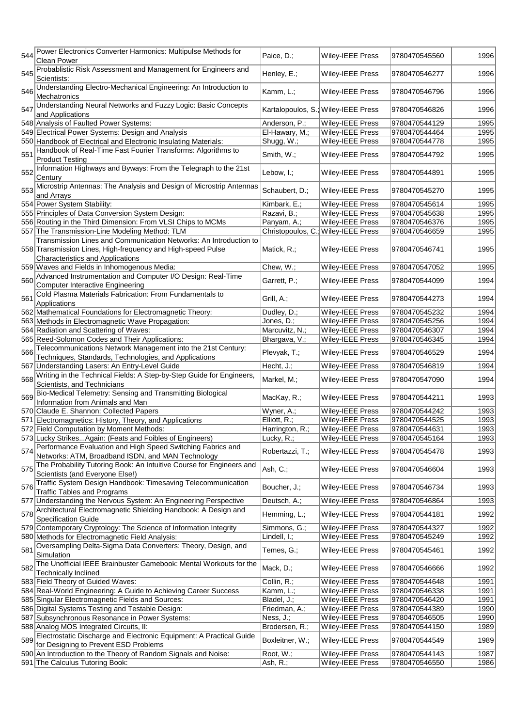| 544 | Power Electronics Converter Harmonics: Multipulse Methods for<br>Clean Power                                           | Paice, D.;      | Wiley-IEEE Press                    | 9780470545560 | 1996 |
|-----|------------------------------------------------------------------------------------------------------------------------|-----------------|-------------------------------------|---------------|------|
|     | Probablistic Risk Assessment and Management for Engineers and                                                          |                 |                                     |               |      |
| 545 | Scientists:                                                                                                            | Henley, E.;     | Wiley-IEEE Press                    | 9780470546277 | 1996 |
| 546 | Understanding Electro-Mechanical Engineering: An Introduction to<br>Mechatronics                                       | Kamm, L.;       | Wiley-IEEE Press                    | 9780470546796 | 1996 |
| 547 | Understanding Neural Networks and Fuzzy Logic: Basic Concepts<br>and Applications                                      |                 | Kartalopoulos, S.; Wiley-IEEE Press | 9780470546826 | 1996 |
|     | 548 Analysis of Faulted Power Systems:                                                                                 | Anderson, P.;   | Wiley-IEEE Press                    | 9780470544129 | 1995 |
|     | 549 Electrical Power Systems: Design and Analysis                                                                      | El-Hawary, M.;  | Wiley-IEEE Press                    | 9780470544464 | 1995 |
|     | 550 Handbook of Electrical and Electronic Insulating Materials:                                                        | Shugg, W.;      | Wiley-IEEE Press                    | 9780470544778 | 1995 |
| 551 | Handbook of Real-Time Fast Fourier Transforms: Algorithms to<br><b>Product Testing</b>                                 | Smith, W.;      | Wiley-IEEE Press                    | 9780470544792 | 1995 |
| 552 | Information Highways and Byways: From the Telegraph to the 21st<br>Century                                             | Lebow, I.;      | Wiley-IEEE Press                    | 9780470544891 | 1995 |
| 553 | Microstrip Antennas: The Analysis and Design of Microstrip Antennas<br>and Arrays                                      | Schaubert, D.;  | Wiley-IEEE Press                    | 9780470545270 | 1995 |
|     | 554 Power System Stability:                                                                                            | Kimbark, E.;    | Wiley-IEEE Press                    | 9780470545614 | 1995 |
|     | 555 Principles of Data Conversion System Design:                                                                       | Razavi, B.;     | Wiley-IEEE Press                    | 9780470545638 | 1995 |
|     | 556 Routing in the Third Dimension: From VLSI Chips to MCMs                                                            | Panyam, A.;     | Wiley-IEEE Press                    | 9780470546376 | 1995 |
|     | 557 The Transmission-Line Modeling Method: TLM                                                                         |                 | Christopoulos, C.; Wiley-IEEE Press | 9780470546659 | 1995 |
|     | Transmission Lines and Communication Networks: An Introduction to                                                      |                 |                                     |               |      |
|     | 558 Transmission Lines, High-frequency and High-speed Pulse<br><b>Characteristics and Applications</b>                 | Matick, R.;     | Wiley-IEEE Press                    | 9780470546741 | 1995 |
|     | 559 Waves and Fields in Inhomogenous Media:                                                                            | Chew, W.;       | Wiley-IEEE Press                    | 9780470547052 | 1995 |
|     | 560 Advanced Instrumentation and Computer I/O Design: Real-Time                                                        | Garrett, P.;    | Wiley-IEEE Press                    | 9780470544099 | 1994 |
|     | <b>Computer Interactive Engineering</b><br>Cold Plasma Materials Fabrication: From Fundamentals to                     |                 |                                     |               |      |
| 561 | Applications                                                                                                           | Grill, A.;      | Wiley-IEEE Press                    | 9780470544273 | 1994 |
|     | 562 Mathematical Foundations for Electromagnetic Theory:                                                               | Dudley, D.;     | Wiley-IEEE Press                    | 9780470545232 | 1994 |
|     | 563 Methods in Electromagnetic Wave Propagation:                                                                       | Jones, D.;      | Wiley-IEEE Press                    | 9780470545256 | 1994 |
|     | 564 Radiation and Scattering of Waves:                                                                                 | Marcuvitz, N.;  | Wiley-IEEE Press                    | 9780470546307 | 1994 |
|     | 565 Reed-Solomon Codes and Their Applications:                                                                         | Bhargava, V.;   | Wiley-IEEE Press                    | 9780470546345 | 1994 |
| 566 | Telecommunications Network Management into the 21st Century:                                                           | Plevyak, T.;    | Wiley-IEEE Press                    | 9780470546529 | 1994 |
|     | Techniques, Standards, Technologies, and Applications                                                                  |                 |                                     |               |      |
|     | 567 Understanding Lasers: An Entry-Level Guide<br>Writing in the Technical Fields: A Step-by-Step Guide for Engineers, | Hecht, J.;      | Wiley-IEEE Press                    | 9780470546819 | 1994 |
| 568 | Scientists, and Technicians                                                                                            | Markel, M.;     | Wiley-IEEE Press                    | 9780470547090 | 1994 |
| 569 | Bio-Medical Telemetry: Sensing and Transmitting Biological<br>Information from Animals and Man                         | MacKay, R.;     | Wiley-IEEE Press                    | 9780470544211 | 1993 |
|     | 570 Claude E. Shannon: Collected Papers                                                                                | Wyner, A.;      | Wiley-IEEE Press                    | 9780470544242 | 1993 |
|     | 571 Electromagnetics: History, Theory, and Applications                                                                | $Elliott, R.$ ; | Wiley-IEEE Press                    | 9780470544525 | 1993 |
|     | 572 Field Computation by Moment Methods:                                                                               | Harrington, R.; | <b>Wiley-IEEE Press</b>             | 9780470544631 | 1993 |
|     | 573 Lucky StrikesAgain: (Feats and Foibles of Engineers)                                                               | Lucky, R.;      | Wiley-IEEE Press                    | 9780470545164 | 1993 |
| 574 | Performance Evaluation and High Speed Switching Fabrics and<br>Networks: ATM, Broadband ISDN, and MAN Technology       | Robertazzi, T.; | Wiley-IEEE Press                    | 9780470545478 | 1993 |
| 575 | The Probability Tutoring Book: An Intuitive Course for Engineers and<br>Scientists (and Everyone Else!)                | Ash, C.;        | Wiley-IEEE Press                    | 9780470546604 | 1993 |
| 576 | Traffic System Design Handbook: Timesaving Telecommunication<br><b>Traffic Tables and Programs</b>                     | Boucher, J.;    | <b>Wiley-IEEE Press</b>             | 9780470546734 | 1993 |
|     | 577 Understanding the Nervous System: An Engineering Perspective                                                       | Deutsch, A.;    | Wiley-IEEE Press                    | 9780470546864 | 1993 |
| 578 | Architectural Electromagnetic Shielding Handbook: A Design and<br><b>Specification Guide</b>                           | Hemming, L.;    | <b>Wiley-IEEE Press</b>             | 9780470544181 | 1992 |
|     | 579 Contemporary Cryptology: The Science of Information Integrity                                                      | Simmons, G.;    | <b>Wiley-IEEE Press</b>             | 9780470544327 | 1992 |
|     | 580 Methods for Electromagnetic Field Analysis:                                                                        | Lindell, I.;    | Wiley-IEEE Press                    | 9780470545249 | 1992 |
| 581 | Oversampling Delta-Sigma Data Converters: Theory, Design, and<br>Simulation                                            | Temes, G.;      | Wiley-IEEE Press                    | 9780470545461 | 1992 |
| 582 | The Unofficial IEEE Brainbuster Gamebook: Mental Workouts for the<br><b>Technically Inclined</b>                       | Mack, D.;       | Wiley-IEEE Press                    | 9780470546666 | 1992 |
|     | 583 Field Theory of Guided Waves:                                                                                      | Collin, R.;     | Wiley-IEEE Press                    | 9780470544648 | 1991 |
|     | 584 Real-World Engineering: A Guide to Achieving Career Success                                                        | Kamm, L.;       | Wiley-IEEE Press                    | 9780470546338 | 1991 |
|     | 585 Singular Electromagnetic Fields and Sources:                                                                       | Bladel, J.;     | Wiley-IEEE Press                    | 9780470546420 | 1991 |
|     | 586 Digital Systems Testing and Testable Design:                                                                       | Friedman, A.;   | Wiley-IEEE Press                    | 9780470544389 | 1990 |
|     | 587 Subsynchronous Resonance in Power Systems:                                                                         | Ness, J.;       | Wiley-IEEE Press                    | 9780470546505 | 1990 |
|     | 588 Analog MOS Integrated Circuits, II:                                                                                | Brodersen, R.;  | Wiley-IEEE Press                    | 9780470544150 | 1989 |
|     | 589 Electrostatic Discharge and Electronic Equipment: A Practical Guide<br>for Designing to Prevent ESD Problems       | Boxleitner, W.; | Wiley-IEEE Press                    | 9780470544549 | 1989 |
|     | 590 An Introduction to the Theory of Random Signals and Noise:                                                         | Root, W.;       | Wiley-IEEE Press                    | 9780470544143 | 1987 |
|     | 591 The Calculus Tutoring Book:                                                                                        | Ash, R.;        | Wiley-IEEE Press                    | 9780470546550 | 1986 |
|     |                                                                                                                        |                 |                                     |               |      |